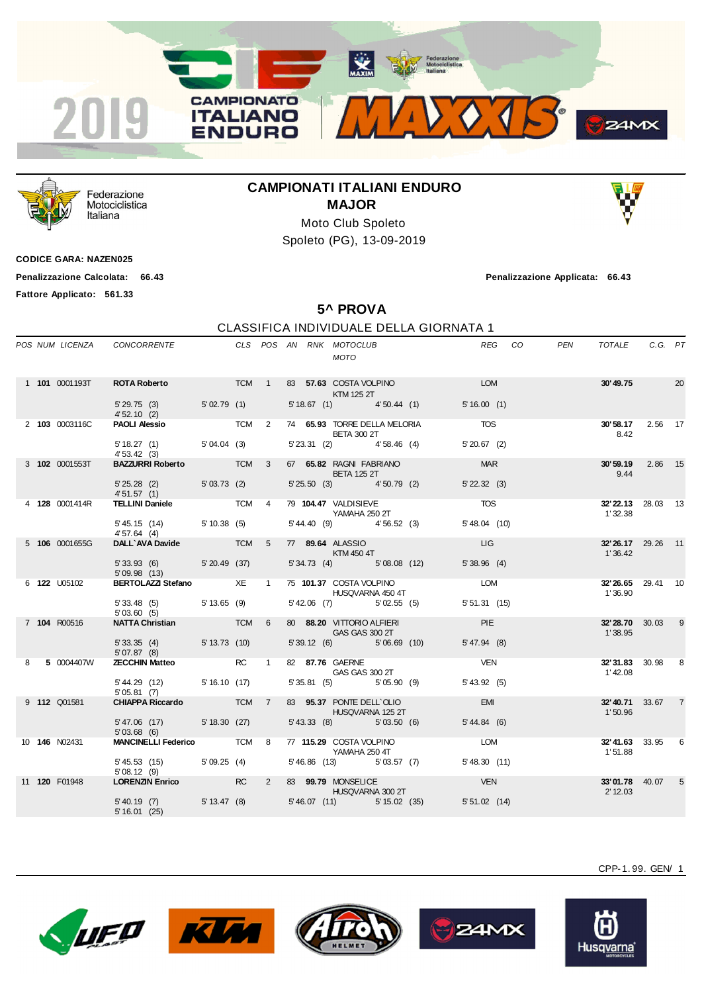



Federazione Motociclistica Italiana

## **CAMPIONATI ITALIANI ENDURO MAJOR**



Moto Club Spoleto Spoleto (PG), 13-09-2019

**CODICE GARA: NAZEN025**

**Penalizzazione Calcolata: 66.43 Penalizzazione Applicata: 66.43**

**Fattore Applicato: 561.33**

## **5^ PROVA** CLASSIFICA INDIVIDUALE DELLA GIORNATA 1

|  |                       |                                                              |  |  | CLS POS AN RNK MOTOCLUB<br><b>MOTO</b>                       |                | REG CO | PEN | TOTALE                       | C.G. PT |                 |
|--|-----------------------|--------------------------------------------------------------|--|--|--------------------------------------------------------------|----------------|--------|-----|------------------------------|---------|-----------------|
|  | 1 101 0001193T        | <b>ROTA Roberto TCM</b> 1                                    |  |  | 83 57.63 COSTA VOLPINO DEL DOMINICATION<br>KTM 125 2T        |                |        |     | 30'49.75 20                  |         |                 |
|  |                       | $5'29.75(3)$ $5'02.79(1)$<br>4'52.10(2)                      |  |  | 5' 18.67 (1) 4' 50.44 (1) 5' 16.00 (1)                       |                |        |     |                              |         |                 |
|  | 2 103 0003116C        |                                                              |  |  | <b>BETA 300 2T</b><br>5' 23.31 (2) 4' 58.46 (4) 5' 20.67 (2) |                |        |     | 30'58.17 2.56 17<br>8.42     |         |                 |
|  |                       | $5'18.27(1)$ $5'04.04(3)$<br>4'53.42(3)                      |  |  |                                                              |                |        |     |                              |         |                 |
|  | 3 <b>102</b> 0001553T | BAZZURRI Roberto TCM 3                                       |  |  | 67 65.82 RAGNI FABRIANO<br><b>BETA 125 2T</b>                | <b>MAR</b>     |        |     | 30'59.19 2.86 15<br>9.44     |         |                 |
|  |                       | 5' 25.28 (2) 5' 03.73 (2)<br>4'51.57 (1)                     |  |  | 5' 25.50 (3) 4' 50.79 (2)                                    | $5'$ 22.32 (3) |        |     |                              |         |                 |
|  | 4 128 0001414R        | TELLINI Daniele TCM 4                                        |  |  | 79 104.47 VALDISIEVE<br>YAMAHA 250 2T                        | <b>TOS</b>     |        |     | 32'22.13 28.03 13<br>1'32.38 |         |                 |
|  |                       | 5' 45.15 (14) 5' 10.38 (5)<br>4'57.64(4)                     |  |  | 5' 44.40 (9) 4' 56.52 (3)                                    | 5'48.04 (10)   |        |     |                              |         |                 |
|  | 5 106 0001655G        | DALL'AVA Davide TCM 5 77 89.64 ALASSIO                       |  |  | <b>EXTM 450 4T</b>                                           | <b>LIG</b>     |        |     | 32'26.17 29.26 11<br>1'36.42 |         |                 |
|  |                       | 5' 33.93 (6) 5' 20.49 (37)<br>5'09.98(13)                    |  |  | 5' 34.73 (4) 5' 08.08 (12)                                   | 5'38.96(4)     |        |     |                              |         |                 |
|  | 6 <b>122</b> U05102   | BERTOLAZZI Stefano XE 1 75 101.37 COSTA VOLPINO LOM          |  |  | HUSQVARNA 450 4T                                             |                |        |     | 32'26.65 29.41 10<br>1'36.90 |         |                 |
|  |                       | $5'33.48$ (5) $5'13.65$ (9)<br>5'03.60(5)                    |  |  | 5' 42.06 (7) 5' 02.55 (5)                                    | 5'51.31(15)    |        |     |                              |         |                 |
|  | 7 104 R00516          | <b>NATTA Christian TCM</b> 6                                 |  |  | 80 88.20 VITTORIO ALFIERI<br>GAS GAS 300 2T                  | <b>PIE</b>     |        |     | 32'28.70 30.03 9<br>1'38.95  |         |                 |
|  |                       | 5' 33.35 (4) 5' 13.73 (10)<br>5'07.87 (8)                    |  |  | 5' 39.12 (6) 5' 06.69 (10) 5' 47.94 (8)                      |                |        |     |                              |         |                 |
|  | 8 5 0004407W          | <b>ZECCHIN Matteo</b> RC 1                                   |  |  | 82 87.76 GAERNE<br><b>GAS GAS 300 2T</b>                     | VEN            |        |     | 32'31.83 30.98 8<br>1'42.08  |         |                 |
|  |                       | 5' 44.29 (12) 5' 16.10 (17)<br>5'05.81(7)                    |  |  | 5' 35.81 (5) 5' 05.90 (9)                                    | 5' 43.92(5)    |        |     |                              |         |                 |
|  | 9 <b>112</b> Q01581   | <b>CHIAPPA Riccardo TCM 7</b>                                |  |  | 83 95.37 PONTE DELL'OLIO<br><b>HUSQVARNA 125 2T</b>          | <b>EMI</b>     |        |     | 32'40.71 33.67<br>1'50.96    |         | $\overline{7}$  |
|  |                       | 5'47.06 (17) 5'18.30 (27)<br>5'03.68(6)                      |  |  | 5'43.33 (8) 5'03.50 (6)                                      | 5' 44.84(6)    |        |     |                              |         |                 |
|  | 10 <b>146</b> N02431  | <b>MANCINELLI Federico</b> TCM 8 77 115.29 COSTA VOLPINO LOM |  |  | YAMAHA 250 4T                                                |                |        |     | 32'41.63 33.95 6<br>1'51.88  |         |                 |
|  |                       | 5' 45.53 (15) 5' 09.25 (4)<br>5'08.12(9)                     |  |  | 5' 46.86 (13) 5' 03.57 (7)                                   | 5'48.30 (11)   |        |     |                              |         |                 |
|  | 11 120 F01948         | LORENZIN Enrico RC                                           |  |  | 2 83 99.79 MONSELICE<br>HUSQVARNA 300 2T                     | <b>VEN</b>     |        |     | 33'01.78 40.07<br>2' 12.03   |         | $5\overline{)}$ |
|  |                       | 5' 40.19 (7) 5' 13.47 (8)<br>5'16.01(25)                     |  |  | 5' 46.07 (11) 5' 15.02 (35) 5' 51.02 (14)                    |                |        |     |                              |         |                 |











Husqvarna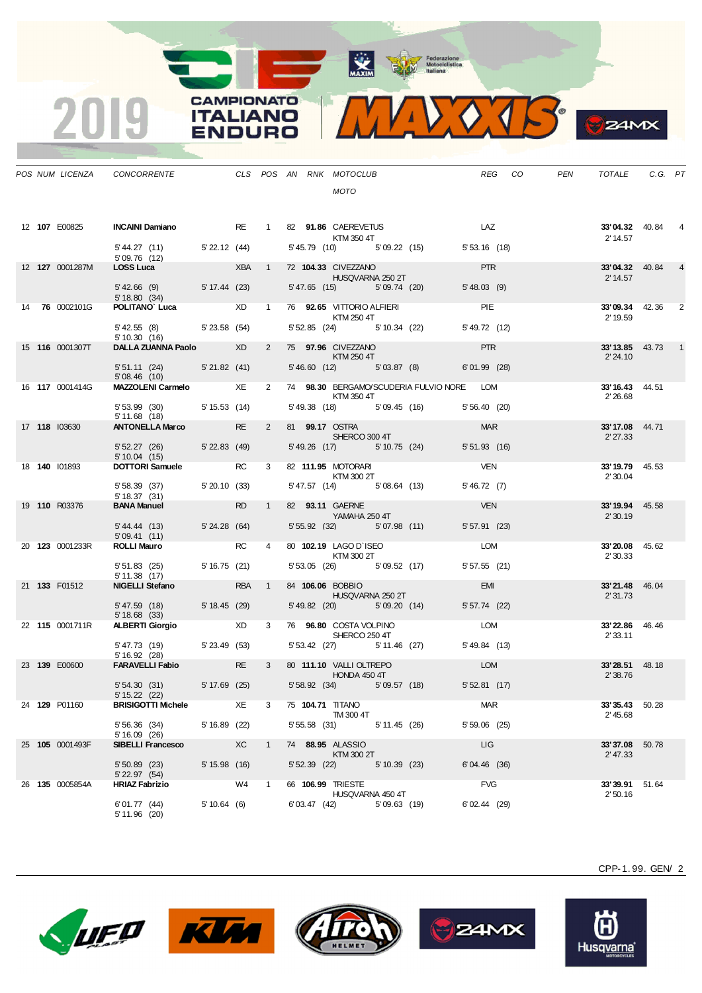

| х<br>øв |
|---------|
|         |
|         |

|  |                        | POS NUM LICENZA CONCORRENTE THE CLS POS AN RNK MOTOCLUB                                                              |                             |    |                |  | <b>MOTO</b>                                   |             |                                           |                | REG CO | PEN | TOTALE                             | C.G. PT |                |
|--|------------------------|----------------------------------------------------------------------------------------------------------------------|-----------------------------|----|----------------|--|-----------------------------------------------|-------------|-------------------------------------------|----------------|--------|-----|------------------------------------|---------|----------------|
|  | 12 <b>107</b> E00825   | <b>INCAINI Damiano</b> RE 1 82 91.86 CAEREVETUS LAZ<br>$5'44.27(11) 5'22.12(44) 5'45.79(10) 5'09.22(15) 5'53.16(18)$ |                             |    |                |  | KTM 350 4T                                    |             |                                           |                |        |     | <b>33'04.32</b> 40.84<br>2' 14.57  |         |                |
|  | 12 127 0001287M        | 5'09.76 (12)<br>LOSS Luca                                                                                            |                             |    |                |  | XBA 1 72 104.33 CIVEZZANO<br>HUSQVARNA 250 2T |             |                                           | <b>PTR</b>     |        |     | <b>33'04.32</b> 40.84<br>2' 14.57  |         |                |
|  |                        | 5' 42.66 (9) 5' 17.44 (23) 5' 47.65 (15) 5' 09.74 (20)<br>5'18.80(34)                                                |                             |    |                |  |                                               |             |                                           | 5'48.03(9)     |        |     |                                    |         |                |
|  | 14 76 0002101G         | <b>POLITANO' Luca</b> $\qquad \qquad \times$ D 1 76 <b>92.65</b> VITTORIO ALFIERI <b>INCIAL AND A POLITANO'</b> PIE  |                             |    |                |  | KTM 250 4T                                    |             |                                           |                |        |     | <b>33'09.34</b> 42.36<br>2' 19.59  |         | $\overline{2}$ |
|  |                        | 5' 42.55 (8) 5' 23.58 (54)<br>5'10.30(16)                                                                            |                             |    |                |  |                                               |             | 5' 52.85 (24) 5' 10.34 (22)               | 5' 49.72 (12)  |        |     |                                    |         |                |
|  | 15 <b>116</b> 0001307T | DALLA ZUANNA Paolo XD                                                                                                |                             |    |                |  | 2 75 <b>97.96</b> CIVEZZANO<br>KTM 250 4T     |             |                                           | <b>PTR</b>     |        |     | <b>33' 13.85</b> 43.73<br>2' 24.10 |         |                |
|  |                        | 5' 51.11 (24) 5' 21.82 (41)<br>5'08.46(10)                                                                           |                             |    |                |  |                                               |             | 5'46.60 (12) 5'03.87 (8)                  | $6'01.99$ (28) |        |     |                                    |         |                |
|  |                        | MAZZOLENI Carmelo $\begin{array}{cccc}\nXE & 2 & 74 & 98.30 & BERGANO/SCUDERIA FLULYIO NORE & LOM\n\end{array}$      |                             |    |                |  | KTM 350 4T                                    |             |                                           |                |        |     | 33'16.43 44.51<br>2' 26.68         |         |                |
|  |                        | 5' 53.99 (30) 5' 15.53 (14)<br>5' 11.68 (18)                                                                         |                             |    |                |  |                                               |             | 5' 49.38 (18) 5' 09.45 (16) 5' 56.40 (20) |                |        |     |                                    |         |                |
|  | 17 118 103630          | ANTONELLA Marco RE                                                                                                   |                             |    | $2^{\circ}$    |  | 81 99.17 OSTRA<br>SHERCO 300 4T               |             |                                           | <b>MAR</b>     |        |     | 33'17.08 44.71<br>2' 27.33         |         |                |
|  |                        | 5' 52.27 (26) 5' 22.83 (49)<br>5' 10.04 (15)                                                                         |                             |    |                |  |                                               |             | 5' 49.26 (17) 5' 10.75 (24)               | $5'51.93$ (16) |        |     |                                    |         |                |
|  | 18 140 101893          | <b>DOTTORI Samuele</b> RC                                                                                            |                             |    | $3^{\circ}$    |  | 82 111.95 MOTORARI<br>KTM 300 2T              |             |                                           | <b>VEN</b>     |        |     | 33'19.79 45.53<br>2' 30.04         |         |                |
|  |                        | 5' 58.39 (37) 5' 20.10 (33)<br>5' 18.37 (31)                                                                         |                             |    |                |  |                                               |             | 5' 47.57 (14) 5' 08.64 (13)               | 5' 46.72 (7)   |        |     |                                    |         |                |
|  | 19 110 R03376          | <b>BANA Manuel</b>                                                                                                   | $R_{\rm 1.5}$ $R_{\rm 2.5}$ |    | 1              |  | 82 93.11 GAERNE<br>YAMAHA 250 4T              |             |                                           | <b>VEN</b>     |        |     | 33'19.94 45.58<br>2'30.19          |         |                |
|  |                        | 5'44.44 (13)                                                                                                         | 5'24.28(64)                 |    |                |  | 5' 55.92 (32) 5' 07.98 (11)                   |             |                                           | $5'57.91$ (23) |        |     |                                    |         |                |
|  | 20 123 0001233R        | 5'09.41(11)<br><b>ROLLI Mauro</b>                                                                                    | RC                          |    | $\overline{4}$ |  | 80 102.19 LAGO D'ISEO<br><b>KTM 300 2T</b>    |             |                                           | LOM            |        |     | 33'20.08 45.62                     |         |                |
|  |                        | 5' 51.83 (25) 5' 16.75 (21)                                                                                          |                             |    |                |  |                                               |             | 5' 53.05 (26) 5' 09.52 (17)               | $5'57.55$ (21) |        |     | 2' 30.33                           |         |                |
|  | 21 133 F01512          | 5' 11.38 (17)<br>NIGELLI Stefano RBA 1                                                                               |                             |    |                |  | 84 106.06 BOBBIO                              |             |                                           | <b>EMI</b>     |        |     | 33'21.48 46.04                     |         |                |
|  |                        | 5' 47.59 (18) 5' 18.45 (29)                                                                                          |                             |    |                |  | <b>HUSQVARNA 250 2T</b>                       |             | 5' 49.82 (20) 5' 09.20 (14)               | $5'57.74$ (22) |        |     | 2'31.73                            |         |                |
|  | 22 115 0001711R        | 5' 18.68 (33)<br><b>ALBERTI Giorgio XD</b> XD                                                                        |                             |    | $3^{\circ}$    |  | 76 96.80 COSTA VOLPINO                        |             |                                           | <b>LOM</b>     |        |     | 33'22.86 46.46                     |         |                |
|  |                        | 5' 47.73 (19) 5' 23.49 (53)                                                                                          |                             |    |                |  | <b>SHERCO 250 4T</b>                          |             | 5' 53.42 (27) 5' 11.46 (27)               | 5' 49.84 (13)  |        |     | 2' 33.11                           |         |                |
|  | 23 139 E00600          | 5' 16.92 (28)<br><b>FARAVELLI Fabio</b> RE                                                                           |                             |    |                |  | 3 80 111.10 VALLI OLTREPO                     |             |                                           | LOM            |        |     | 33'28.51 48.18                     |         |                |
|  |                        | 5' 54.30 (31) 5' 17.69 (25) 5' 58.92 (34) 5' 09.57 (18)                                                              |                             |    |                |  | <b>HONDA 450 4T</b>                           |             |                                           | 5'52.81(17)    |        |     | 2'38.76                            |         |                |
|  | 24 129 P01160          | $5' 15.22$ (22)<br><b>BRISIGOTTI Michele</b>                                                                         |                             | XE | 3              |  | 75 104.71 TITANO                              |             |                                           | MAR            |        |     | 33'35.43 50.28                     |         |                |
|  |                        | 5' 56.36 (34)                                                                                                        | 5'16.89(22)                 |    |                |  | TM 300 4T<br>5' 55.58 (31) 5' 11.45 (26)      |             |                                           | $5'59.06$ (25) |        |     | 2' 45.68                           |         |                |
|  | 25 105 0001493F        | 5' 16.09 (26)<br><b>SIBELLI Francesco</b>                                                                            | X <sup>C</sup>              |    | $\mathbf{1}$   |  | 74 88.95 ALASSIO                              |             |                                           | LIG            |        |     | 33'37.08 50.78                     |         |                |
|  |                        | $5'50.89$ (23)                                                                                                       | $5' 15.98$ (16)             |    |                |  | KTM 300 2T<br>5' 52.39 (22) 5' 10.39 (23)     |             |                                           | $6'04.46$ (36) |        |     | 2' 47.33                           |         |                |
|  | 26 135 0005854A        | 5' 22.97 (54)<br><b>HRIAZ Fabrizio</b>                                                                               | W4                          |    | $\overline{1}$ |  | 66 106.99 TRIESTE                             |             |                                           | <b>FVG</b>     |        |     | 33'39.91 51.64                     |         |                |
|  |                        | 6'01.77 (44)<br>5'11.96(20)                                                                                          | 5'10.64(6)                  |    |                |  | HUSQVARNA 450 4T<br>$6'$ 03.47 $(42)$         | 5'09.63(19) |                                           | $6'02.44$ (29) |        |     | 2'50.16                            |         |                |

**CAMPIONATO** 

**ITALIANO ENDURO** 

2019









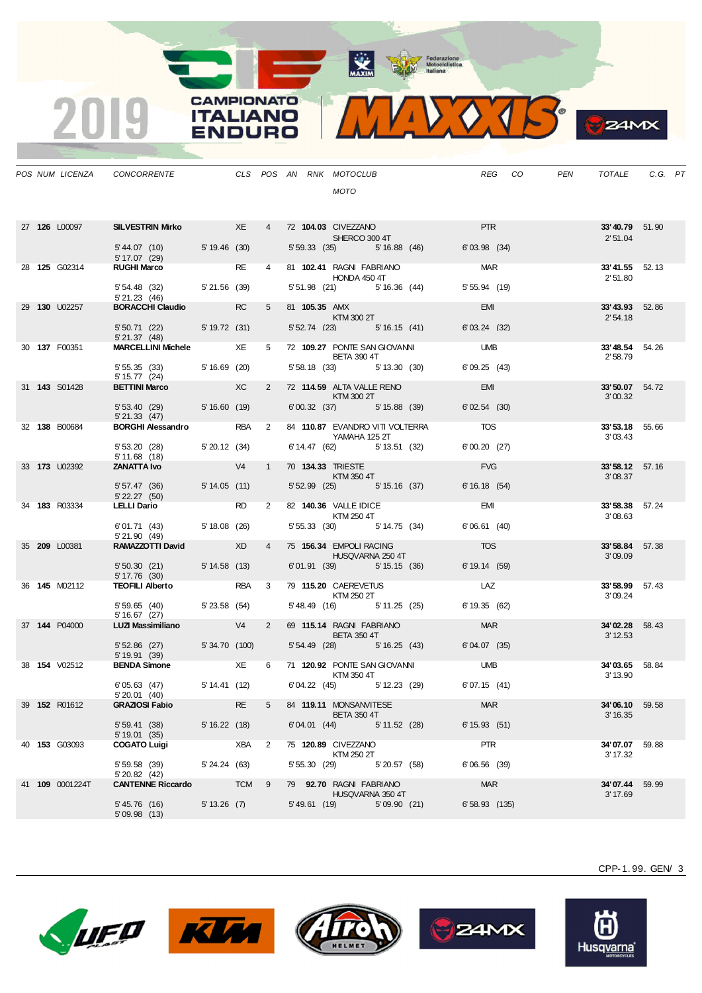

**S**ZAMX

|  | POS NUM LICENZA      | CONCORRENTE CLS POS AN RNK MOTOCLUB              |                        |           |                | MOTO                                                     | REG             | CO <sub>.</sub> | PEN | TOTALE                            | C.G. PT |  |
|--|----------------------|--------------------------------------------------|------------------------|-----------|----------------|----------------------------------------------------------|-----------------|-----------------|-----|-----------------------------------|---------|--|
|  |                      |                                                  |                        |           |                |                                                          |                 |                 |     |                                   |         |  |
|  | 27 126 L00097        | SILVESTRIN Mirko XE                              |                        |           |                | 4 72 104.03 CIVEZZANO<br><b>SHERCO 300 4T</b>            | <b>PTR</b>      |                 |     | 33'40.79 51.90<br>2'51.04         |         |  |
|  |                      | 5' 44.07 (10) 5' 19.46 (30)<br>5' 17.07 (29)     |                        |           |                | 5' 59.33 (35) 5' 16.88 (46)                              | 6'03.98(34)     |                 |     |                                   |         |  |
|  | 28 <b>125</b> G02314 | <b>RUGHI Marco</b>                               |                        | <b>RE</b> | $\overline{4}$ | 81 102.41 RAGNI FABRIANO<br>HONDA 450 4T                 | <b>MAR</b>      |                 |     | 33'41.55 52.13<br>2'51.80         |         |  |
|  |                      | 5' 54.48 (32) 5' 21.56 (39)<br>5'21.23(46)       |                        |           |                | 5' 51.98 (21) 5' 16.36 (44)                              | $5'55.94$ (19)  |                 |     |                                   |         |  |
|  | 29 130 U02257        | <b>BORACCHI Claudio</b> RC                       |                        |           | $5^{\circ}$    | 81 105.35 AMX<br>KTM 300 2T                              | <b>EMI</b>      |                 |     | 33'43.93 52.86<br>2'54.18         |         |  |
|  |                      | 5' 50.71 (22) 5' 19.72 (31)<br>$5'$ 21.37 (48)   |                        |           |                | 5' 52.74 (23) 5' 16.15 (41)                              | 6'03.24(32)     |                 |     |                                   |         |  |
|  | 30 137 F00351        | <b>MARCELLINI Michele</b> XE                     |                        |           |                | 5 72 109.27 PONTE SAN GIOVANNI UMB<br><b>BETA 390 4T</b> |                 |                 |     | 33'48.54 54.26<br>2'58.79         |         |  |
|  |                      | 5' 55.35 (33) 5' 16.69 (20)<br>5' 15.77 (24)     |                        |           |                | 5' 58.18 (33) 5' 13.30 (30)                              | 6'09.25(43)     |                 |     |                                   |         |  |
|  | 31 <b>143</b> S01428 | BETTINI Marco XC                                 |                        |           |                | 2 72 114.59 ALTA VALLE RENO<br>KTM 300 2T                | EMI             |                 |     | 33'50.07 54.72<br>3'00.32         |         |  |
|  |                      | 5' 53.40 (29) 5' 16.60 (19)<br>5'21.33(47)       |                        |           |                | 6'00.32 (37) 5'15.88 (39)                                | 6'02.54(30)     |                 |     |                                   |         |  |
|  | 32 138 B00684        | BORGHI Alessandro RBA 2                          |                        |           |                | 84 110.87 EVANDRO VITI VOLTERRA<br>YAMAHA 125 2T         | <b>TOS</b>      |                 |     | 33'53.18 55.66<br>3'03.43         |         |  |
|  |                      | 5'53.20(28)<br>5'11.68(18)                       | 5'20.12(34)            |           |                | 6' 14.47 (62) 5' 13.51 (32)                              | 6'00.20(27)     |                 |     |                                   |         |  |
|  | 33 173 U02392        | <b>ZANATTA Ivo</b>                               | V4                     |           | $1 \quad$      | 70 134.33 TRIESTE<br>KTM 350 4T                          | <b>FVG</b>      |                 |     | 33'58.12 57.16<br>3'08.37         |         |  |
|  |                      | 5' 57.47 (36) 5' 14.05 (11)<br>$5'$ 22.27 $(50)$ |                        |           |                | 5' 52.99 (25) 5' 15.16 (37)                              | 6'16.18(54)     |                 |     |                                   |         |  |
|  | 34 183 R03334        | <b>LELLI Dario</b>                               | <b>Example 2019 RD</b> |           |                | 2 82 140.36 VALLE IDICE<br>KTM 250 4T                    | <b>EMI</b>      |                 |     | <b>33'58.38</b> 57.24<br>3'08.63  |         |  |
|  |                      | 6'01.71 (43)<br>$5'$ 21.90 (49)                  | 5' 18.08 (26)          |           |                | 5' 55.33 (30) 5' 14.75 (34)                              | 6'06.61(40)     |                 |     |                                   |         |  |
|  | 35 209 L00381        | RAMAZZOTTI David XD                              |                        |           | $\overline{4}$ | 75 156.34 EMPOLI RACING<br>HUSQVARNA 250 4T              | <b>TOS</b>      |                 |     | 33'58.84 57.38<br>3'09.09         |         |  |
|  |                      | 5' 50.30 (21) 5' 14.58 (13)<br>$5' 17.76$ (30)   |                        |           |                | 6'01.91 (39) 5'15.15 (36)                                | 6'19.14(59)     |                 |     |                                   |         |  |
|  | 36 145 M02112        | <b>TEOFILI Alberto</b>                           |                        | RBA 3     |                | 79 115.20 CAEREVETUS<br>KTM 250 2T                       | LAZ             |                 |     | 33'58.99 57.43<br>3'09.24         |         |  |
|  |                      | 5' 59.65 (40) 5' 23.58 (54)<br>5'16.67(27)       |                        |           |                | 5' 48.49 (16) 5' 11.25 (25)                              | 6'19.35(62)     |                 |     |                                   |         |  |
|  | 37 144 P04000        | LUZI Massimiliano V4                             |                        |           | $2^{\circ}$    | 69 115.14 RAGNI FABRIANO<br><b>BETA 350 4T</b>           | <b>MAR</b>      |                 |     | 34'02.28 58.43<br>3' 12.53        |         |  |
|  |                      | 5' 52.86 (27) 5' 34.70 (100)<br>5' 19.91 (39)    |                        |           |                | 5' 54.49 (28) 5' 16.25 (43)                              | 6'04.07 (35)    |                 |     |                                   |         |  |
|  | 38 154 V02512        | <b>BENDA Simone</b> XE                           |                        |           |                | 6 71 120.92 PONTE SAN GIOVANNI UMB<br>KTM 350 4T         |                 |                 |     | 34'03.65 58.84<br>3' 13.90        |         |  |
|  |                      | 6'05.63 (47)<br>5' 20.01 (40)                    | 5' 14.41 (12)          |           |                | 6' 04.22 (45) 5' 12.23 (29)                              | 6'07.15(41)     |                 |     |                                   |         |  |
|  | 39 152 R01612        | <b>GRAZIOSI Fabio</b>                            |                        | <b>RE</b> | 5              | 84 119.11 MONSANVITESE<br><b>BETA 350 4T</b>             | <b>MAR</b>      |                 |     | <b>34'06.10</b> 59.58<br>3' 16.35 |         |  |
|  |                      | 5' 59.41 (38)<br>5' 19.01 (35)                   | 5' 16.22(18)           |           |                | $6'04.01$ (44) $5'11.52$ (28)                            | 6'15.93(51)     |                 |     |                                   |         |  |
|  | 40 153 G03093        | <b>COGATO Luigi</b>                              | XBA <sub>2</sub>       |           |                | 75 120.89 CIVEZZANO<br>KTM 250 2T                        | <b>PTR</b>      |                 |     | 34'07.07 59.88<br>3' 17.32        |         |  |
|  |                      | 5' 59.58 (39)<br>5' 20.82 (42)                   | 5'24.24 (63)           |           |                | 5' 55.30 (29) 5' 20.57 (58)                              | $6'06.56$ (39)  |                 |     |                                   |         |  |
|  | 41 109 0001224T      | <b>CANTENNE Riccardo TCM 9</b>                   |                        |           |                | 79 92.70 RAGNI FABRIANO<br>HUSQVARNA 350 4T              | <b>MAR</b>      |                 |     | 34'07.44 59.99<br>3' 17.69        |         |  |
|  |                      | 5' 45.76 (16)<br>5'09.98(13)                     | $5' 13.26$ (7)         |           |                | 5'49.61 (19) 5'09.90 (21)                                | $6'58.93$ (135) |                 |     |                                   |         |  |
|  |                      |                                                  |                        |           |                |                                                          |                 |                 |     |                                   |         |  |

**CAMPIONATO** 

**ITALIANO** 

**ENDURO** 

2019











Husqvarna®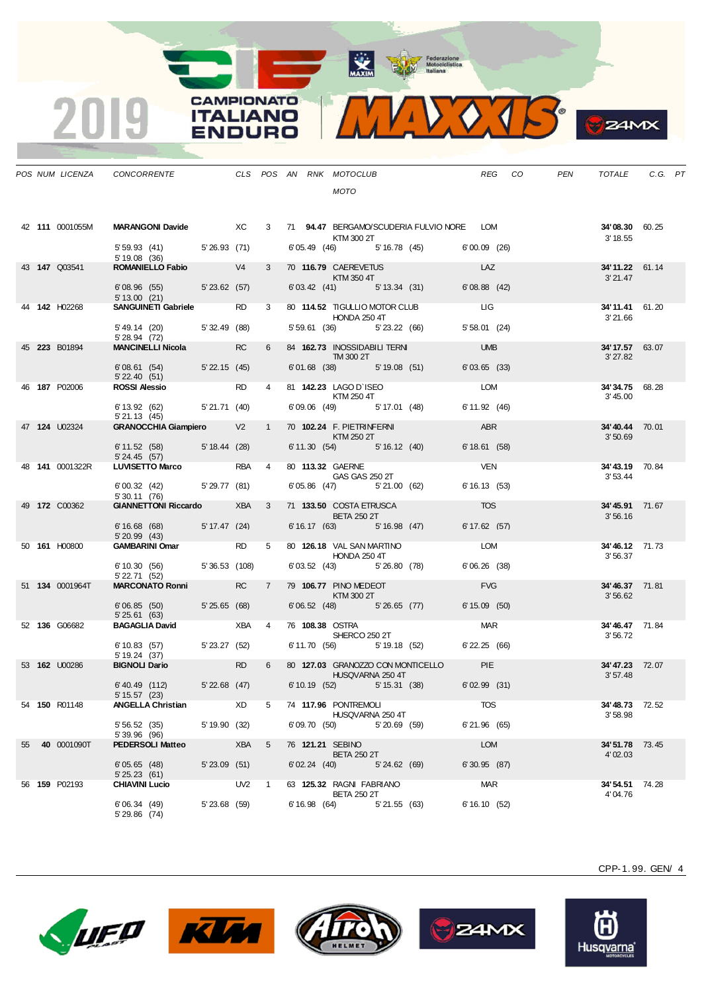**CAMPIONATO** 

**ITALIANO** 

**ENDURO** 

2019



**S**ZAMX

|  |                      | POS NUM LICENZA CONCORRENTE                   |                       |                                                                                                                                                                                                                                |                |  | CLS POS AN RNK MOTOCLUB                                                                                                                                                                                                                                       |             |                                           | REG CO            | PEN | TOTALE                            | C.G. PT |  |
|--|----------------------|-----------------------------------------------|-----------------------|--------------------------------------------------------------------------------------------------------------------------------------------------------------------------------------------------------------------------------|----------------|--|---------------------------------------------------------------------------------------------------------------------------------------------------------------------------------------------------------------------------------------------------------------|-------------|-------------------------------------------|-------------------|-----|-----------------------------------|---------|--|
|  |                      |                                               |                       |                                                                                                                                                                                                                                |                |  | <b>MOTO</b>                                                                                                                                                                                                                                                   |             |                                           |                   |     |                                   |         |  |
|  | 42 111 0001055M      | MARANGONI Davide XC                           |                       |                                                                                                                                                                                                                                | $3^{\circ}$    |  | KTM 300 2T                                                                                                                                                                                                                                                    |             | 71 94.47 BERGAMO/SCUDERIA FULVIO NORE LOM |                   |     | <b>34'08.30</b> 60.25<br>3' 18.55 |         |  |
|  |                      | 5' 59.93 (41) 5' 26.93 (71)<br>5' 19.08 (36)  |                       |                                                                                                                                                                                                                                |                |  |                                                                                                                                                                                                                                                               |             | 6' 05.49 (46) 5' 16.78 (45) 6' 00.09 (26) |                   |     |                                   |         |  |
|  | 43 <b>147</b> Q03541 | ROMANIELLO Fabio V4                           |                       |                                                                                                                                                                                                                                | $3^{\circ}$    |  | 70 116.79 CAEREVETUS<br>KTM 350 4T                                                                                                                                                                                                                            |             |                                           | LAZ               |     | 34'11.22 61.14<br>3' 21.47        |         |  |
|  |                      | 6'08.96 (55) 5'23.62 (57)<br>5' 13.00 (21)    |                       |                                                                                                                                                                                                                                |                |  |                                                                                                                                                                                                                                                               |             | $6'03.42$ (41) $5'13.34$ (31)             | 6'08.88(42)       |     |                                   |         |  |
|  | 44 142 H02268        | <b>SANGUINETI Gabriele</b>                    |                       | RD and the set of the set of the set of the set of the set of the set of the set of the set of the set of the set of the set of the set of the set of the set of the set of the set of the set of the set of the set of the se | $3^{\circ}$    |  | HONDA 250 4T                                                                                                                                                                                                                                                  |             | 80 114.52 TIGULLIO MOTOR CLUB LIG         |                   |     | 34'11.41 61.20<br>3'21.66         |         |  |
|  |                      | 5'49.14 (20) 5'32.49 (88)<br>5' 28.94 (72)    |                       |                                                                                                                                                                                                                                |                |  |                                                                                                                                                                                                                                                               |             | 5' 59.61 (36) 5' 23.22 (66)               | $5'58.01$ (24)    |     |                                   |         |  |
|  | 45 223 B01894        | <b>MANCINELLI Nicola</b>                      |                       | <b>RC</b>                                                                                                                                                                                                                      | 6              |  | 84 162.73 INOSSIDABILI TERNI<br>TM3002T                                                                                                                                                                                                                       |             |                                           | <b>UMB</b>        |     | 34' 17.57 63.07<br>3'27.82        |         |  |
|  |                      | 6'08.61 (54) 5'22.15 (45)<br>5' 22.40 (51)    |                       |                                                                                                                                                                                                                                |                |  |                                                                                                                                                                                                                                                               |             | 6'01.68 (38) 5'19.08 (51)                 | 6'03.65(33)       |     |                                   |         |  |
|  | 46 187 P02006        | <b>ROSSI Alessio</b>                          |                       | <b>RD</b>                                                                                                                                                                                                                      | $\overline{4}$ |  | 81 142.23 LAGO D'ISEO<br>KTM 250 4T                                                                                                                                                                                                                           |             |                                           | <b>LOM</b>        |     | 34'34.75 68.28<br>3' 45.00        |         |  |
|  |                      | 6' 13.92 (62) 5' 21.71 (40)<br>5'21.13(45)    |                       |                                                                                                                                                                                                                                |                |  | 6'09.06 (49) 5'17.01 (48)                                                                                                                                                                                                                                     |             |                                           | 6' 11.92 (46)     |     |                                   |         |  |
|  | 47 124 U02324        | <b>GRANOCCHIA Giampiero</b>                   |                       | V <sub>2</sub>                                                                                                                                                                                                                 | 1              |  | 70 102.24 F. PIETRINFERNI<br>$\blacksquare$ $\blacksquare$ $\blacksquare$ $\blacksquare$ $\blacksquare$ $\blacksquare$ $\blacksquare$ $\blacksquare$ $\blacksquare$ $\blacksquare$ $\blacksquare$ $\blacksquare$ $\blacksquare$ $\blacksquare$ $\blacksquare$ |             |                                           | ABR               |     | 34'40.44 70.01<br>3'50.69         |         |  |
|  |                      | 6' 11.52 (58) 5' 18.44 (28)<br>5' 24.45 (57)  |                       |                                                                                                                                                                                                                                |                |  | 6' 11.30 (54) 5' 16.12 (40)                                                                                                                                                                                                                                   |             |                                           | $6' 18.61$ (58)   |     |                                   |         |  |
|  | 48 141 0001322R      | <b>LUVISETTO Marco</b>                        |                       | <b>RBA</b>                                                                                                                                                                                                                     | $\overline{4}$ |  | 80 113.32 GAERNE<br><b>GAS GAS 250 2T</b>                                                                                                                                                                                                                     |             |                                           | <b>VEN</b>        |     | 34'43.19 70.84<br>3'53.44         |         |  |
|  |                      | 6'00.32 (42) 5'29.77 (81)<br>5' 30.11 (76)    |                       |                                                                                                                                                                                                                                |                |  | 6'05.86 (47) 5'21.00 (62)                                                                                                                                                                                                                                     |             |                                           | 6' 16.13 (53)     |     |                                   |         |  |
|  | 49 172 C00362        | <b>GIANNETTONI Riccardo</b>                   |                       | XBA                                                                                                                                                                                                                            | 3              |  | 71 <b>133.50 COSTA ETRUSCA</b><br><b>BETA 250 2T</b>                                                                                                                                                                                                          |             |                                           | <b>TOS</b>        |     | 34'45.91 71.67<br>3'56.16         |         |  |
|  |                      | 6' 16.68 (68) 5' 17.47 (24)<br>5'20.99(43)    |                       |                                                                                                                                                                                                                                |                |  | 6' 16.17 (63)                                                                                                                                                                                                                                                 | 5'16.98(47) |                                           | 6' 17.62 (57)     |     |                                   |         |  |
|  | 50 161 H00800        | <b>GAMBARINI Omar</b>                         |                       | <b>RD</b>                                                                                                                                                                                                                      | 5 <sub>5</sub> |  | 80 126.18 VAL SAN MARTINO<br><b>HONDA 250 4T</b>                                                                                                                                                                                                              |             |                                           | LOM               |     | 34'46.12 71.73<br>3'56.37         |         |  |
|  |                      | 6' 10.30 (56) 5' 36.53 (108)<br>5' 22.71 (52) |                       |                                                                                                                                                                                                                                |                |  | 6'03.52 (43) 5'26.80 (78)                                                                                                                                                                                                                                     |             |                                           | 6'06.26(38)       |     |                                   |         |  |
|  | 51 134 0001964T      | <b>MARCONATO Ronni</b>                        |                       | <b>RC</b>                                                                                                                                                                                                                      | $7^{\circ}$    |  | 79 106.77 PINO MEDEOT<br>KTM 300 2T                                                                                                                                                                                                                           |             |                                           | <b>FVG</b>        |     | 34'46.37 71.81<br>3'56.62         |         |  |
|  |                      | 6'06.85 (50) 5'25.65 (68)<br>5'25.61(63)      |                       |                                                                                                                                                                                                                                |                |  |                                                                                                                                                                                                                                                               |             | $6'06.52$ (48) $5'26.65$ (77)             | 6' 15.09 (50)     |     |                                   |         |  |
|  | 52 136 G06682        | <b>BAGAGLIA David</b>                         |                       | XBA 4                                                                                                                                                                                                                          |                |  | 76 108.38 OSTRA<br>SHERCO 250 2T                                                                                                                                                                                                                              |             |                                           | <b>MAR</b>        |     | 34'46.47 71.84<br>3'56.72         |         |  |
|  |                      | 6' 10.83 (57) 5' 23.27 (52)<br>5' 19.24 (37)  |                       |                                                                                                                                                                                                                                |                |  |                                                                                                                                                                                                                                                               |             | 6' 11.70 (56) 5' 19.18 (52)               | $6'$ 22.25 $(66)$ |     |                                   |         |  |
|  | 53 <b>162</b> U00286 | <b>BIGNOLI Dario</b>                          |                       | <b>RD</b>                                                                                                                                                                                                                      | 6              |  | HUSQVARNA 250 4T                                                                                                                                                                                                                                              |             | 80 127.03 GRANOZZO CON MONTICELLO PIE     |                   |     | 34'47.23 72.07<br>3'57.48         |         |  |
|  |                      | 6'40.49 (112)<br>5' 15.57 (23)                | 5'22.68(47)           |                                                                                                                                                                                                                                |                |  |                                                                                                                                                                                                                                                               |             | 6' 10.19 (52) 5' 15.31 (38)               | $6'02.99$ (31)    |     |                                   |         |  |
|  | 54 <b>150</b> R01148 | ANGELLA Christian                             |                       | XD                                                                                                                                                                                                                             | 5              |  | 74 117.96 PONTREMOLI<br>HUSQVARNA 250 4T                                                                                                                                                                                                                      |             |                                           | <b>TOS</b>        |     | <b>34' 48.73</b> 72.52<br>3'58.98 |         |  |
|  |                      | 5'56.52(35)<br>5'39.96 (96)                   | 5' 19.90 (32)         |                                                                                                                                                                                                                                |                |  | 6'09.70 (50) 5'20.69 (59)                                                                                                                                                                                                                                     |             |                                           | 6'21.96(65)       |     |                                   |         |  |
|  | 55 40 0001090T       | <b>PEDERSOLI Matteo</b>                       | <b>Example 28 XBA</b> |                                                                                                                                                                                                                                | $-5$           |  | 76 121.21 SEBINO<br><b>BETA 250 2T</b>                                                                                                                                                                                                                        |             |                                           | LOM               |     | 34'51.78 73.45<br>4'02.03         |         |  |
|  |                      | 6'05.65(48)<br>5'25.23(61)                    | $5'23.09$ (51)        |                                                                                                                                                                                                                                |                |  | 6'02.24 (40) 5'24.62 (69)                                                                                                                                                                                                                                     |             |                                           | $6'30.95$ (87)    |     |                                   |         |  |
|  | 56 159 P02193        | <b>CHIAVINI Lucio</b>                         | $UV2$ 1               |                                                                                                                                                                                                                                |                |  | 63 125.32 RAGNI FABRIANO<br><b>BETA 250 2T</b>                                                                                                                                                                                                                |             |                                           | MAR               |     | 34'54.51 74.28<br>4'04.76         |         |  |
|  |                      | 6'06.34(49)<br>5' 29.86 (74)                  | 5' 23.68 (59)         |                                                                                                                                                                                                                                |                |  | $6'16.98$ $(64)$ $5'21.55$ $(63)$                                                                                                                                                                                                                             |             |                                           | 6'16.10(52)       |     |                                   |         |  |









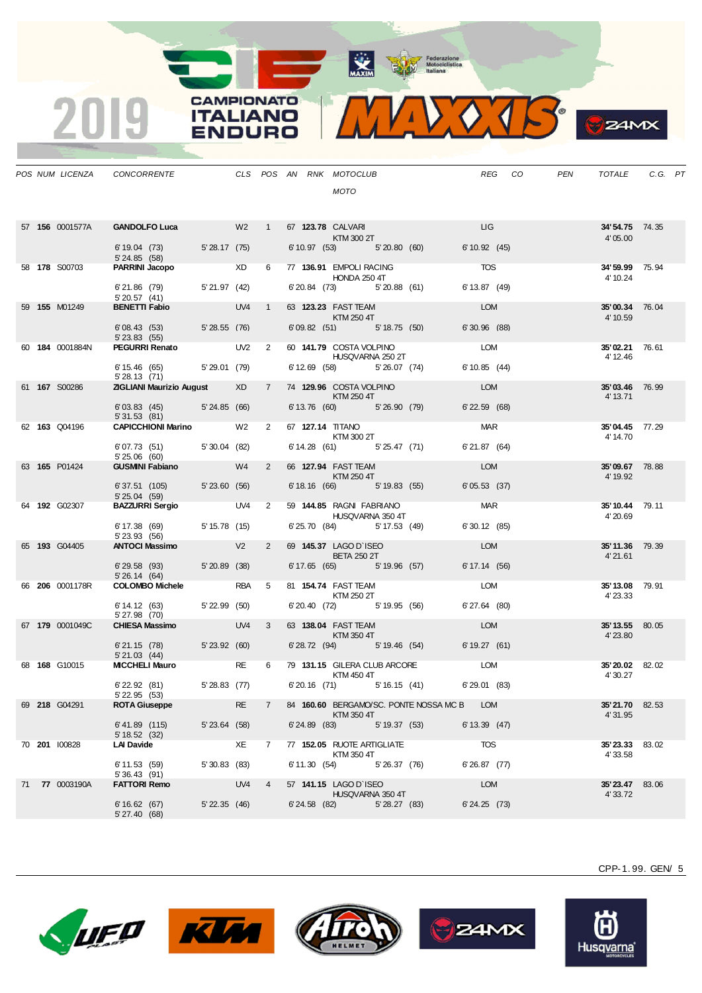

**B** ZAMX

|  | POS NUM LICENZA      | CONCORRENTE                                                                         |                   |                 |                |                   | CLS POS AN RNK MOTOCLUB<br><b>MOTO</b>                                                                                                                                                                                                                      |               |                    | REG CO | PEN | TOTALE                            | C.G. PT |  |
|--|----------------------|-------------------------------------------------------------------------------------|-------------------|-----------------|----------------|-------------------|-------------------------------------------------------------------------------------------------------------------------------------------------------------------------------------------------------------------------------------------------------------|---------------|--------------------|--------|-----|-----------------------------------|---------|--|
|  |                      | 57 156 0001577A GANDOLFO Luca W2 1 67 123.78 CALVARI<br>6' 19.04 (73) 5' 28.17 (75) |                   |                 |                |                   | $KTM 300 2T$<br>(53)<br>6' 10.97 (53) 5' 20.80 (60)                                                                                                                                                                                                         |               | LIG<br>6'10.92(45) |        |     | 34'54.75 74.35<br>4'05.00         |         |  |
|  | 58 <b>178</b> S00703 | 5'24.85(58)<br>PARRINI Jacopo XD 6 77 136.91 EMPOLI RACING                          |                   |                 |                |                   |                                                                                                                                                                                                                                                             |               | <b>TOS</b>         |        |     | 34'59.99 75.94                    |         |  |
|  |                      | 6'21.86 (79) 5'21.97 (42)                                                           |                   |                 |                |                   | HONDA 250 4T<br>6'20.84 (73) 5'20.88 (61)                                                                                                                                                                                                                   |               | 6' 13.87 (49)      |        |     | 4' 10.24                          |         |  |
|  | 59 <b>155</b> M01249 | 5' 20.57 (41)<br><b>BENETTI Fabio</b>                                               |                   | UV4 1           |                |                   | 63 123.23 FAST TEAM                                                                                                                                                                                                                                         |               | <b>LOM</b>         |        |     | 35'00.34 76.04                    |         |  |
|  |                      | 6'08.43 (53) 5'28.55 (76)<br>$5'$ 23.83 $(55)$                                      |                   |                 |                |                   | <b>Example 250 KTM 250 4T</b><br>$6'09.82$ (51) $5'18.75$ (50)                                                                                                                                                                                              |               | $6'30.96$ (88)     |        |     | 4' 10.59                          |         |  |
|  | 60 184 0001884N      | <b>PEGURRI Renato</b> UV2 2                                                         |                   |                 |                |                   | 60 141.79 COSTA VOLPINO<br>HUSQVARNA 250 2T                                                                                                                                                                                                                 |               | <b>LOM</b>         |        |     | 35'02.21 76.61<br>4' 12.46        |         |  |
|  |                      | 6' 15.46 (65) 5' 29.01 (79)<br>5'28.13(71)                                          |                   |                 |                |                   | 6' 12.69 (58) 5' 26.07 (74)                                                                                                                                                                                                                                 |               | 6'10.85(44)        |        |     |                                   |         |  |
|  | 61 167 S00286        | <b>ZIGLIANI Maurizio August XD XD</b>                                               |                   |                 | 7              |                   | 74 129.96 COSTA VOLPINO<br>$\blacksquare$ $\blacksquare$ $\blacksquare$ $\blacksquare$ $\blacksquare$ $\blacksquare$ $\blacksquare$ $\blacksquare$ $\blacksquare$ $\blacksquare$ $\blacksquare$ $\blacksquare$ $\blacksquare$ $\blacksquare$ $\blacksquare$ |               | <b>LOM</b>         |        |     | 35'03.46 76.99<br>4' 13.71        |         |  |
|  |                      | 6'03.83 (45) 5'24.85 (66)<br>5'31.53(81)                                            |                   |                 |                |                   | 6' 13.76 (60) 5' 26.90 (79)                                                                                                                                                                                                                                 |               | $6'$ 22.59 $(68)$  |        |     |                                   |         |  |
|  | 62 163 Q04196        | <b>CAPICCHIONI Marino W2</b> W2                                                     |                   |                 | 2              |                   | 67 127.14 TITANO<br>$\begin{array}{c}\n 1.1111 \\ 2.11111 \\ 30021\n\end{array}$                                                                                                                                                                            |               | <b>MAR</b>         |        |     | 35'04.45 77.29<br>4' 14.70        |         |  |
|  |                      | $6'07.73$ $(51)$ $5'30.04$ $(82)$<br>5'25.06(60)                                    |                   |                 |                |                   | 6' 14.28 (61) 5' 25.47 (71)                                                                                                                                                                                                                                 |               | 6'21.87(64)        |        |     |                                   |         |  |
|  | 63 165 P01424        | <b>GUSMINI Fabiano</b> W4                                                           |                   |                 | $2^{\circ}$    |                   | 66 127.94 FAST TEAM<br>KTM 250 4T                                                                                                                                                                                                                           |               | LOM                |        |     | 35'09.67 78.88<br>4' 19.92        |         |  |
|  |                      | 6' 37.51 (105) 5' 23.60 (56)<br>5'25.04(59)                                         |                   |                 |                |                   | 6' 18.16 (66) 5' 19.83 (55)                                                                                                                                                                                                                                 |               | 6'05.53(37)        |        |     |                                   |         |  |
|  | 64 192 G02307        | BAZZURRI Sergio UV4 2                                                               |                   |                 |                |                   | 59 144.85 RAGNI FABRIANO<br>HUSQVARNA 350 4T                                                                                                                                                                                                                |               | <b>MAR</b>         |        |     | 35'10.44 79.11<br>4' 20.69        |         |  |
|  |                      | 6' 17.38 (69) 5' 15.78 (15)<br>5' 23.93 (56)                                        |                   |                 |                |                   | 6'25.70 (84) 5'17.53 (49)                                                                                                                                                                                                                                   |               | 6'30.12(85)        |        |     |                                   |         |  |
|  | 65 193 G04405        | ANTOCI Massimo V2                                                                   |                   |                 | $2^{\circ}$    |                   | 69 145.37 LAGO D'ISEO<br><b>BETA 250 2T</b>                                                                                                                                                                                                                 |               | <b>LOM</b>         |        |     | 35'11.36 79.39<br>4'21.61         |         |  |
|  |                      | 6'29.58 (93) 5'20.89 (38)<br>5'26.14(64)                                            |                   |                 |                |                   | 6' 17.65 (65) 5' 19.96 (57)                                                                                                                                                                                                                                 |               | 6' 17.14 (56)      |        |     |                                   |         |  |
|  | 66 206 0001178R      | <b>COLOMBO Michele</b>                                                              |                   | RBA 5           |                |                   | 81 154.74 FAST TEAM<br><b>KTM 250 2T</b>                                                                                                                                                                                                                    |               | <b>LOM</b>         |        |     | 35'13.08 79.91<br>4' 23.33        |         |  |
|  |                      | 6' 14.12 (63) 5' 22.99 (50)<br>5' 27.98 (70)                                        |                   |                 |                |                   | 6' 20.40 (72) 5' 19.95 (56)                                                                                                                                                                                                                                 |               | 6'27.64 (80)       |        |     |                                   |         |  |
|  | 67 179 0001049C      | <b>CHIESA Massimo</b>                                                               |                   | UV <sub>4</sub> | $3^{\circ}$    |                   | 63 138.04 FAST TEAM<br>$\blacksquare$ $\blacksquare$ $\blacksquare$ $\blacksquare$ $\blacksquare$ $\blacksquare$ $\blacksquare$ $\blacksquare$ $\blacksquare$ $\blacksquare$ $\blacksquare$ $\blacksquare$ $\blacksquare$ $\blacksquare$ $\blacksquare$     |               | <b>LOM</b>         |        |     | 35'13.55 80.05<br>4' 23.80        |         |  |
|  |                      | 6'21.15 (78) 5'23.92 (60)<br>5'21.03(44)                                            |                   |                 |                |                   | 6' 28.72 (94) 5' 19.46 (54) 6' 19.27 (61)                                                                                                                                                                                                                   |               |                    |        |     |                                   |         |  |
|  | 68 168 G10015        | MICCHELI Mauro <b>RE</b>                                                            |                   |                 |                |                   | 6 79 131.15 GILERA CLUB ARCORE LOM<br>KTM 450 4T                                                                                                                                                                                                            |               |                    |        |     | 35'20.02 82.02<br>4' 30.27        |         |  |
|  |                      | $6'$ 22.92 $(81)$<br>5' 22.95 (53)                                                  | 5'28.83(77)       |                 |                |                   | 6'20.16 (71) 5'16.15 (41)                                                                                                                                                                                                                                   |               | 6'29.01 (83)       |        |     |                                   |         |  |
|  | 69 218 G04291        | <b>ROTA Giuseppe</b>                                                                |                   | <b>RE</b>       | $\overline{7}$ |                   | 84 160.60 BERGAMO/SC. PONTE NOSSA MC B LOM<br>KTM 350 4T                                                                                                                                                                                                    |               |                    |        |     | <b>35'21.70</b> 82.53<br>4' 31.95 |         |  |
|  |                      | $6' 41.89$ (115)<br>5' 18.52 (32)                                                   | $5'$ 23.64 $(58)$ |                 |                |                   | $6'24.89$ (83)                                                                                                                                                                                                                                              | 5' 19.37 (53) | 6' 13.39 (47)      |        |     |                                   |         |  |
|  | 70 201 100828        | <b>LAI Davide</b>                                                                   |                   | XE              | $7^{\circ}$    |                   | 77 152.05 RUOTE ARTIGLIATE<br>KTM 350 4T                                                                                                                                                                                                                    |               | TOS                |        |     | 35'23.33 83.02<br>4' 33.58        |         |  |
|  |                      | 6'11.53(59)<br>5'36.43(91)                                                          | 5'30.83(83)       |                 |                |                   | $6'11.30(54)$ $5'26.37(76)$                                                                                                                                                                                                                                 |               | $6'26.87$ (77)     |        |     |                                   |         |  |
|  | 71 77 0003190A       | <b>FATTORI Remo</b>                                                                 |                   | UV4 4           |                |                   | 57 141.15 LAGO D`ISEO<br>HUSQVARNA 350 4T                                                                                                                                                                                                                   |               | <b>LOM</b>         |        |     | 35'23.47 83.06<br>4' 33.72        |         |  |
|  |                      | 6'16.62(67)<br>5'27.40(68)                                                          | 5' 22.35 (46)     |                 |                | $6'$ 24.58 $(82)$ |                                                                                                                                                                                                                                                             | 5' 28.27 (83) | $6' 24.25$ (73)    |        |     |                                   |         |  |

**CAMPIONATO** 

**ITALIANO** 

**ENDURO** 

2019









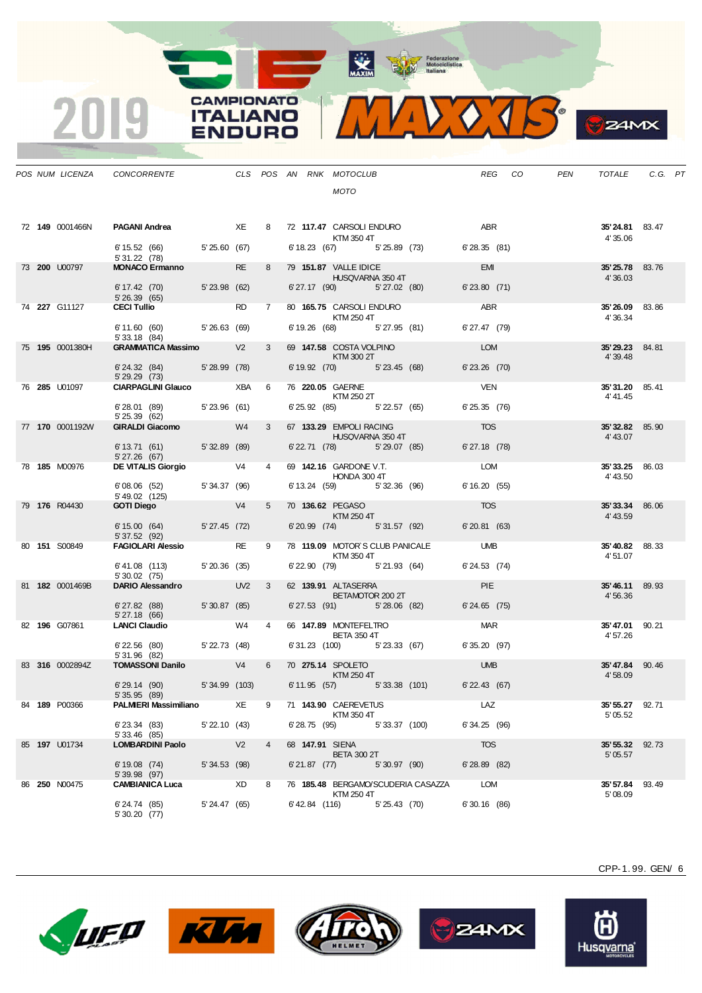

**S**ZAMX

|  | POS NUM LICENZA       | CONCORRENTE                                                             |                   |                |                |                 | CLS POS AN RNK MOTOCLUB<br><b>MOTO</b>                                 |                                                                  | REG CO                          | PEN | TOTALE                             | C.G. PT |
|--|-----------------------|-------------------------------------------------------------------------|-------------------|----------------|----------------|-----------------|------------------------------------------------------------------------|------------------------------------------------------------------|---------------------------------|-----|------------------------------------|---------|
|  | 72 149 0001466N       | <b>PAGANI Andrea</b> XE<br>6' 15.52 (66) 5' 25.60 (67)<br>5' 31.22 (78) |                   |                |                |                 | 8 72 117.47 CARSOLI ENDURO<br>KTM 350 4T                               | 6' 18.23 (67) 5' 25.89 (73)                                      | ABR <sub>2</sub><br>6'28.35(81) |     | 35'24.81 83.47<br>4'35.06          |         |
|  | 73 200 U00797         | <b>MONACO Ermanno</b><br>$6' 17.42$ (70) $5' 23.98$ (62)                |                   | RE a           | 8              |                 | 79 151.87 VALLE IDICE<br>HUSQVARNA 350 4T<br>6'27.17 (90) 5'27.02 (80) |                                                                  | <b>EMI</b><br>6'23.80(71)       |     | 35'25.78 83.76<br>4'36.03          |         |
|  | 74 227 G11127         | 5' 26.39 (65)<br><b>CECI Tullio</b>                                     |                   | <b>RD</b>      | 7              |                 | 80 165.75 CARSOLI ENDURO<br><b>KTM 250 4T</b>                          |                                                                  | <b>ABR</b>                      |     | <b>35'26.09</b> 83.86<br>4'36.34   |         |
|  | 75 195 0001380H       | 6' 11.60 (60) 5' 26.63 (69)<br>5'33.18(84)<br><b>GRAMMATICA Massimo</b> |                   | V <sub>2</sub> | $3^{\circ}$    |                 | 6' 19.26 (68) 5' 27.95 (81)<br>69 147.58 COSTA VOLPINO                 |                                                                  | 6' 27.47 (79)<br><b>LOM</b>     |     | 35'29.23 84.81                     |         |
|  |                       | 6'24.32 (84) 5'28.99 (78)<br>5'29.29(73)                                |                   |                |                |                 | KTM 300 2T                                                             | 6' 19.92 (70) 5' 23.45 (68)                                      | $6'$ 23.26 $(70)$               |     | 4' 39.48                           |         |
|  | 76 <b>285 U</b> 01097 | <b>CIARPAGLINI Glauco</b><br>6'28.01 (89) 5'23.96 (61)                  |                   | XBA            | 6              |                 | 76 220.05 GAERNE<br><b>KTM 250 2T</b>                                  | $6'25.92$ $(85)$ $5'22.57$ $(65)$                                | <b>VEN</b><br>6'25.35(76)       |     | <b>35' 31.20</b> 85.41<br>4' 41.45 |         |
|  | 77 170 0001192W       | 5' 25.39 (62)<br><b>GIRALDI Giacomo</b>                                 |                   | W <sub>4</sub> | $3^{\circ}$    |                 | 67 133.29 EMPOLI RACING                                                |                                                                  | <b>TOS</b>                      |     | 35'32.82 85.90                     |         |
|  |                       | 6' 13.71 (61) 5' 32.89 (89)<br>5'27.26(67)                              |                   |                |                |                 | HUSQVARNA 350 4T                                                       | 6' 22.71 (78) 5' 29.07 (85)                                      | $6'$ 27.18 $(78)$               |     | 4' 43.07                           |         |
|  | 78 185 M00976         | <b>DE VITALIS Giorgio</b> V4<br>6'08.06 (52) 5'34.37 (96)               |                   |                | $\overline{4}$ |                 | 69 142.16 GARDONE V.T.<br>HONDA 300 4T<br>6' 13.24 (59) 5' 32.36 (96)  |                                                                  | LOM<br>6'16.20(55)              |     | 35'33.25 86.03<br>4' 43.50         |         |
|  | 79 176 R04430         | 5' 49.02 (125)<br><b>GOTI Diego</b>                                     | V4                |                | 5              |                 | 70 136.62 PEGASO<br>KTM 250 4T                                         |                                                                  | <b>TOS</b>                      |     | 35'33.34 86.06<br>4' 43.59         |         |
|  | 80 151 S00849         | 6' 15.00 (64)<br>5' 37.52 (92)<br><b>FAGIOLARI Alessio</b>              | 5'27.45(72)       | <b>RE</b>      | 9              |                 |                                                                        | 6'20.99 (74) 5'31.57 (92)<br>78 119.09 MOTOR'S CLUB PANICALE UMB | 6'20.81(63)                     |     | 35'40.82 88.33                     |         |
|  |                       | $6'41.08$ (113) $5'20.36$ (35)<br>5'30.02(75)                           |                   |                |                |                 | KTM 350 4T<br>6'22.90 (79) 5'21.93 (64)                                |                                                                  | 6'24.53 (74)                    |     | 4'51.07                            |         |
|  | 81 182 0001469B       | DARIO Alessandro UV2<br>$6'$ 27.82 $(88)$                               | 5'30.87 (85)      |                | $\mathbf{3}$   |                 | 62 139.91 ALTASERRA<br><b>BETAMOTOR 200 2T</b>                         | 6'27.53 (91) 5'28.06 (82)                                        | <b>PIE</b><br>$6'24.65$ (75)    |     | 35'46.11 89.93<br>4'56.36          |         |
|  | 82 196 G07861         | 5' 27.18 (66)<br><b>LANCI Claudio</b>                                   |                   | W4             | $\overline{4}$ |                 | 66 147.89 MONTEFELTRO                                                  |                                                                  | <b>MAR</b>                      |     | 35'47.01 90.21                     |         |
|  |                       | $6'$ 22.56 $(80)$ $5'$ 22.73 $(48)$<br>5'31.96 (82)                     |                   |                |                |                 | <b>BETA 350 4T</b>                                                     | 6'31.23 (100) 5'23.33 (67)                                       | 6'35.20 (97)                    |     | 4'57.26                            |         |
|  | 83 316 0002894Z       | <b>TOMASSONI Danilo</b> V4<br>6'29.14(90)                               | 5'34.99 (103)     |                | 6              |                 | 70 275.14 SPOLETO<br>KTM 250 4T<br>6' 11.95 (57) 5' 33.38 (101)        |                                                                  | <b>UMB</b><br>$6'$ 22.43 $(67)$ |     | 35'47.84 90.46<br>4'58.09          |         |
|  | 84 189 P00366         | 5' 35.95 (89)<br><b>PALMIERI Massimiliano</b>                           |                   | XE             | 9              |                 | 71 143.90 CAEREVETUS                                                   |                                                                  | LAZ                             |     | 35' 55.27 92.71                    |         |
|  |                       | 6' 23.34 (83)<br>5' 33.46 (85)                                          | $5'$ 22.10 $(43)$ |                |                |                 | KTM 350 4T<br>6'28.75 (95) 5'33.37 (100)                               |                                                                  | 6'34.25 (96)                    |     | 5' 05.52                           |         |
|  | 85 197 U01734         | <b>LOMBARDINI Paolo</b><br>6'19.08(74)                                  | 5' 34.53 (98)     |                | $\overline{4}$ | 68 147.91 SIENA | <b>BETA 300 2T</b><br>6'21.87 (77) 5'30.97 (90)                        |                                                                  | <b>TOS</b><br>$6'$ 28.89 $(82)$ |     | 35' 55.32 92.73<br>5'05.57         |         |
|  | 86 <b>250</b> N00475  | 5'39.98 (97)<br><b>CAMBIANICA Luca</b>                                  | <b>Example 20</b> |                | 8              |                 |                                                                        | 76 185.48 BERGAMO/SCUDERIA CASAZZA                               | LOM                             |     | 35'57.84 93.49                     |         |
|  |                       | 6'24.74 (85)<br>5'30.20(77)                                             | 5' 24.47 (65)     |                |                |                 | KTM 250 4T<br>$6'$ 42.84 (116) $5'$ 25.43 (70)                         |                                                                  | $6'30.16$ (86)                  |     | 5'08.09                            |         |

**CAMPIONATO** 

**ITALIANO** 

**ENDURO** 

2019









(H) Husqvarna®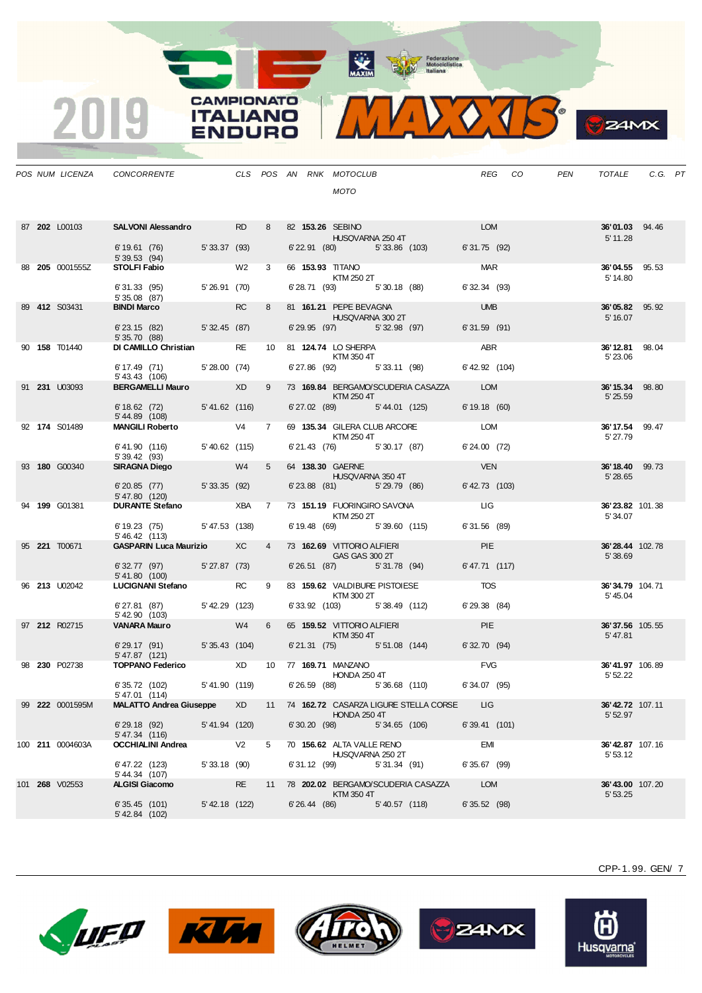MAXIM Pederazione

**CAMPIONATO** 

**ITALIANO** 

**ENDURO** 

2019



|  | POS NUM LICENZA       | CONCORRENTE                                                       |                |                |             |              | CLS POS AN RNK MOTOCLUB<br><b>MOTO</b>                                                                                                                                                                                                                         |                |                                          |                            | REG CO | PEN | TOTALE                      | C.G. PT |  |
|--|-----------------------|-------------------------------------------------------------------|----------------|----------------|-------------|--------------|----------------------------------------------------------------------------------------------------------------------------------------------------------------------------------------------------------------------------------------------------------------|----------------|------------------------------------------|----------------------------|--------|-----|-----------------------------|---------|--|
|  | 87 202 L00103         | SALVONI Alessandro RD                                             |                |                | 8           |              | 82 153.26 SEBINO<br>HUSQVARNA 250 4T                                                                                                                                                                                                                           |                |                                          | <b>LOM</b>                 |        |     | 36'01.03 94.46<br>5' 11.28  |         |  |
|  | 88 205 0001555Z       | 6' 19.61 (76) 5' 33.37 (93)<br>5'39.53(94)<br><b>STOLFI Fabio</b> |                | W2             | $3^{\circ}$ |              | 66 153.93 TITANO                                                                                                                                                                                                                                               |                | 6' 22.91 (80) 5' 33.86 (103)             | 6'31.75 (92)<br><b>MAR</b> |        |     | <b>36'04.55</b> 95.53       |         |  |
|  |                       | 6'31.33 (95)                                                      | 5' 26.91 (70)  |                |             |              | KTM 250 2T<br>6'28.71 (93) 5'30.18 (88)                                                                                                                                                                                                                        |                |                                          | $6'32.34$ (93)             |        |     | 5' 14.80                    |         |  |
|  | 89 412 S03431         | 5'35.08 (87)<br><b>BINDI Marco</b>                                |                | <b>RC</b>      | 8           |              | 81 161.21 PEPE BEVAGNA                                                                                                                                                                                                                                         |                |                                          | <b>UMB</b>                 |        |     | 36'05.82 95.92              |         |  |
|  |                       |                                                                   |                |                |             |              | HUSQVARNA 300 2T                                                                                                                                                                                                                                               |                |                                          |                            |        |     | 5' 16.07                    |         |  |
|  |                       | 6' 23.15 (82) 5' 32.45 (87)<br>5'35.70(88)                        |                |                |             |              |                                                                                                                                                                                                                                                                |                | 6'29.95 (97) 5'32.98 (97)                | 6'31.59 (91)               |        |     |                             |         |  |
|  | 90 158 T01440         | DI CAMILLO Christian RE                                           |                |                |             |              | 10 81 124.74 LO SHERPA<br>KTM 350 4T                                                                                                                                                                                                                           |                |                                          | ABR                        |        |     | 36'12.81 98.04<br>5' 23.06  |         |  |
|  |                       | 6' 17.49 (71) 5' 28.00 (74)<br>5' 43.43 (106)                     |                |                |             |              |                                                                                                                                                                                                                                                                |                | 6'27.86 (92) 5'33.11 (98)                | 6' 42.92 (104)             |        |     |                             |         |  |
|  | 91 231 U03093         | BERGAMELLI Mauro XD                                               |                |                | 9           |              | $\blacksquare$ $\blacksquare$ $\blacksquare$ $\blacksquare$ $\blacksquare$ $\blacksquare$ $\blacksquare$ $\blacksquare$ $\blacksquare$ $\blacksquare$ $\blacksquare$ $\blacksquare$ $\blacksquare$ $\blacksquare$ $\blacksquare$                               |                | 73 169.84 BERGAMO/SCUDERIA CASAZZA LOM   |                            |        |     | 36'15.34 98.80<br>5' 25.59  |         |  |
|  |                       | 6' 18.62 (72) 5' 41.62 (116)<br>5'44.89 (108)                     |                |                |             |              |                                                                                                                                                                                                                                                                |                | 6'27.02 (89) 5'44.01 (125)               | 6' 19.18 (60)              |        |     |                             |         |  |
|  | 92 174 S01489         | MANGILI Roberto V4                                                |                |                | $7^{\circ}$ |              | KTM 250 4T                                                                                                                                                                                                                                                     |                | 69 135.34 GILERA CLUB ARCORE LOM         |                            |        |     | 36' 17.54 99.47<br>5' 27.79 |         |  |
|  |                       | 6' 41.90 (116) 5' 40.62 (115)<br>5' 39.42 (93)                    |                |                |             |              |                                                                                                                                                                                                                                                                |                | 6' 21.43 (76) 5' 30.17 (87)              | 6'24.00 (72)               |        |     |                             |         |  |
|  | 93 180 G00340         | <b>SIRAGNA Diego</b>                                              | W4             |                | $5^{\circ}$ |              | 64 138.30 GAERNE<br><b>HUSQVARNA 350 4T</b>                                                                                                                                                                                                                    |                |                                          | <b>VEN</b>                 |        |     | 36'18.40 99.73<br>5' 28.65  |         |  |
|  |                       | 6'20.85 (77) 5'33.35 (92)<br>5' 47.80 (120)                       |                |                |             |              | 6'23.88 (81) 5'29.79 (86)                                                                                                                                                                                                                                      |                |                                          | $6'$ 42.73 $(103)$         |        |     |                             |         |  |
|  | 94 199 G01381         | <b>DURANTE Stefano</b> XBA 7                                      |                |                |             |              | 73 151.19 FUORINGIRO SAVONA<br>KTM 250 2T                                                                                                                                                                                                                      |                |                                          | <b>LIG</b>                 |        |     | 36'23.82 101.38<br>5'34.07  |         |  |
|  |                       | 6' 19.23 (75) 5' 47.53 (138)<br>5' 46.42 (113)                    |                |                |             |              |                                                                                                                                                                                                                                                                |                | 6' 19.48 (69) 5' 39.60 (115)             | 6'31.56 (89)               |        |     |                             |         |  |
|  | 95 221 T00671         | <b>GASPARIN Luca Maurizio XC</b>                                  |                |                | $4 \quad$   |              | 73 162.69 VITTORIO ALFIERI<br>GAS GAS 300 2T                                                                                                                                                                                                                   |                |                                          | PIE <b>Note</b>            |        |     | 36'28.44 102.78<br>5'38.69  |         |  |
|  |                       | 6' 32.77 (97) 5' 27.87 (73)<br>5'41.80 (100)                      |                |                |             |              |                                                                                                                                                                                                                                                                |                | $6'26.51$ (87) $5'31.78$ (94)            | 6'47.71 (117)              |        |     |                             |         |  |
|  | 96 <b>213</b> U02042  | LUCIGNANI Stefano RC                                              |                |                | 9           |              | 83 159.62 VALDIBURE PISTOIESE<br><b>KTM 300 2T</b>                                                                                                                                                                                                             |                |                                          | <b>TOS</b>                 |        |     | 36'34.79 104.71<br>5' 45.04 |         |  |
|  |                       | 6' 27.81 (87) 5' 42.29 (123)<br>5' 42.90 (103)                    |                |                |             |              | 6'33.92 (103) 5'38.49 (112)                                                                                                                                                                                                                                    |                |                                          | 6' 29.38 (84)              |        |     |                             |         |  |
|  | 97 212 R02715         | <b>VANARA Mauro</b>                                               | W4             |                | 6           |              | 65 159.52 VITTORIO ALFIERI<br>$\blacksquare$ $\blacksquare$ $\blacksquare$ $\blacksquare$ $\blacksquare$ $\blacksquare$ $\blacksquare$ $\blacksquare$ $\blacksquare$ $\blacksquare$ $\blacksquare$ $\blacksquare$ $\blacksquare$ $\blacksquare$ $\blacksquare$ |                |                                          | <b>PIE</b>                 |        |     | 36'37.56 105.55<br>5'47.81  |         |  |
|  |                       | 6'29.17 (91) 5'35.43 (104)                                        |                |                |             |              |                                                                                                                                                                                                                                                                |                | 6'21.31 (75) 5'51.08 (144) 6'32.70 (94)  |                            |        |     |                             |         |  |
|  | 98 230 P02738         | 5' 47.87 (121)<br><b>TOPPANO Federico</b> XD                      |                |                |             |              | 10 77 169.71 MANZANO                                                                                                                                                                                                                                           |                |                                          | <b>FVG</b>                 |        |     | 36'41.97 106.89             |         |  |
|  |                       | 6' 35.72 (102)                                                    | 5'41.90 (119)  |                |             |              | HONDA 250 4T                                                                                                                                                                                                                                                   |                | 6'26.59 (88) 5'36.68 (110)               | 6'34.07 (95)               |        |     | 5' 52.22                    |         |  |
|  | 99 222 0001595M       | 5' 47.01 (114)<br><b>MALATTO Andrea Giuseppe</b>                  |                | XD.            |             |              |                                                                                                                                                                                                                                                                |                | 11 74 162.72 CASARZA LIGURE STELLA CORSE | LIG.                       |        |     | 36'42.72 107.11             |         |  |
|  |                       | 6'29.18(92)                                                       | 5'41.94 (120)  |                |             | 6'30.20 (98) | <b>HONDA 250 4T</b>                                                                                                                                                                                                                                            | 5' 34.65 (106) |                                          | $6'39.41$ (101)            |        |     | 5' 52.97                    |         |  |
|  | 100 211 0004603A      | 5' 47.34 (116)<br><b>OCCHIALINI Andrea</b>                        |                | V <sub>2</sub> | 5           |              | 70 156.62 ALTA VALLE RENO                                                                                                                                                                                                                                      |                |                                          | <b>EMI</b>                 |        |     | <b>36' 42.87</b> 107.16     |         |  |
|  |                       | 6' 47.22 (123)                                                    | 5'33.18(90)    |                |             | 6'31.12 (99) | HUSQVARNA 250 2T                                                                                                                                                                                                                                               | 5'31.34(91)    |                                          | 6'35.67 (99)               |        |     | 5' 53.12                    |         |  |
|  | 101 <b>268</b> V02553 | 5' 44.34 (107)<br><b>ALGISI Giacomo</b>                           |                | RE             | 11          |              |                                                                                                                                                                                                                                                                |                | 78 202.02 BERGAMO/SCUDERIA CASAZZA       | <b>LOM</b>                 |        |     | <b>36' 43.00</b> 107.20     |         |  |
|  |                       | 6'35.45(101)<br>$5'$ 42.84 $(102)$                                | 5' 42.18 (122) |                |             |              | KTM 350 4T<br>6' 26.44 (86)                                                                                                                                                                                                                                    | 5'40.57 (118)  |                                          | $6'35.52$ (98)             |        |     | 5'53.25                     |         |  |









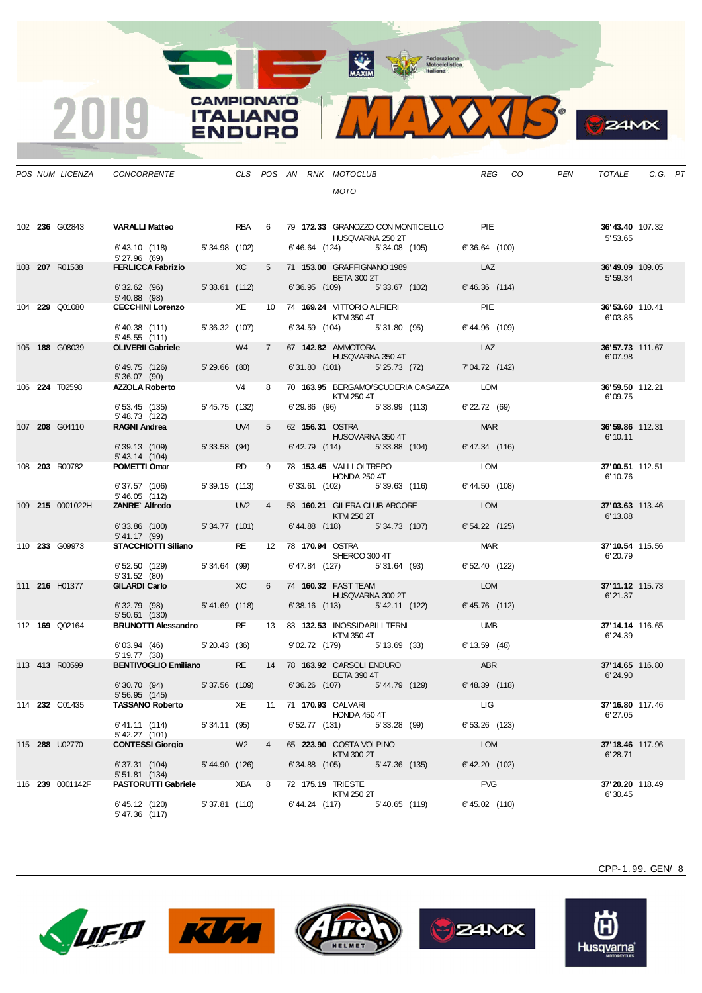

|  | POS NUM LICENZA  | CONCORRENTE                                   |                 |                 |                |                      | CLS POS AN RNK MOTOCLUB                              | REG<br>CO <sub>.</sub> | PEN | TOTALE                      | C.G. PT |  |
|--|------------------|-----------------------------------------------|-----------------|-----------------|----------------|----------------------|------------------------------------------------------|------------------------|-----|-----------------------------|---------|--|
|  |                  |                                               |                 |                 |                |                      | <b>MOTO</b>                                          |                        |     |                             |         |  |
|  |                  |                                               |                 |                 |                |                      |                                                      |                        |     |                             |         |  |
|  | 102 236 G02843   | <b>VARALLI Matteo</b>                         |                 | RBA 6           |                |                      | 79 172.33 GRANOZZO CON MONTICELLO PIE                |                        |     | 36'43.40 107.32             |         |  |
|  |                  | 6' 43.10 (118) 5' 34.98 (102)                 |                 |                 |                |                      | HUSQVARNA 250 2T<br>6'46.64 (124) 5'34.08 (105)      | $6'36.64$ (100)        |     | 5' 53.65                    |         |  |
|  |                  | 5' 27.96 (69)                                 |                 |                 |                |                      |                                                      |                        |     |                             |         |  |
|  | 103 207 R01538   | <b>FERLICCA Fabrizio XC</b>                   |                 |                 | 5              |                      | 71 153.00 GRAFFIGNANO 1989<br><b>BETA 300 2T</b>     | LAZ                    |     | 36'49.09 109.05<br>5' 59.34 |         |  |
|  |                  | 6' 32.62 (96)<br>5' 40.88 (98)                | $5'38.61$ (112) |                 |                |                      | 6'36.95 (109) 5'33.67 (102)                          | 6'46.36 (114)          |     |                             |         |  |
|  | 104 229 Q01080   | CECCHINI Lorenzo XE                           |                 |                 | 10             |                      | 74 169.24 VITTORIO ALFIERI<br>KTM 350 4T             | <b>PIE</b>             |     | 36'53.60 110.41<br>6'03.85  |         |  |
|  |                  | 6'40.38 (111)                                 | 5'36.32 (107)   |                 |                |                      | 6' 34.59 (104) 5' 31.80 (95)                         | 6'44.96 (109)          |     |                             |         |  |
|  | 105 188 G08039   | 5'45.55(111)<br><b>OLIVERII Gabriele</b>      |                 | W4              | $7^{\circ}$    |                      | 67 142.82 AMMOTORA                                   | LAZ                    |     | 36' 57.73 111.67            |         |  |
|  |                  | 6' 49.75 (126)                                | $5'29.66$ (80)  |                 |                |                      | HUSQVARNA 350 4T<br>$6'31.80$ (101) $5'25.73$ (72)   | 7'04.72 (142)          |     | 6'07.98                     |         |  |
|  |                  | 5'36.07(90)<br><b>AZZOLA Roberto</b>          |                 |                 | 8              |                      |                                                      |                        |     |                             |         |  |
|  | 106 224 T02598   |                                               |                 | V4              |                |                      | 70 163.95 BERGAMO/SCUDERIA CASAZZA LOM<br>KTM 250 4T |                        |     | 36'59.50 112.21<br>6'09.75  |         |  |
|  |                  | 6'53.45(135)<br>5' 48.73 (122)                | 5' 45.75 (132)  |                 |                |                      | 6'29.86 (96) 5'38.99 (113)                           | 6' 22.72 (69)          |     |                             |         |  |
|  | 107 208 G04110   | <b>RAGNI Andrea</b>                           |                 | UV4             | 5              | 62 156.31 OSTRA      | HUSQVARNA 350 4T                                     | <b>MAR</b>             |     | 36'59.86 112.31<br>6' 10.11 |         |  |
|  |                  | 6'39.13 (109)<br>5' 43.14 (104)               | 5'33.58(94)     |                 |                |                      | 6' 42.79 (114) 5' 33.88 (104)                        | 6'47.34 (116)          |     |                             |         |  |
|  | 108 203 R00782   | POMETTI Omar                                  |                 | <b>RD</b>       | 9              |                      | 78 153.45 VALLI OLTREPO                              | LOM                    |     | 37'00.51 112.51             |         |  |
|  |                  | 6'37.57 (106)                                 | 5'39.15(113)    |                 |                |                      | <b>HONDA 250 4T</b><br>6'33.61 (102) 5'39.63 (116)   | 6' 44.50 (108)         |     | 6' 10.76                    |         |  |
|  | 109 215 0001022H | 5'46.05(112)<br>ZANRE Alfredo                 |                 | UV <sub>2</sub> | $\overline{4}$ |                      | 58 160.21 GILERA CLUB ARCORE                         | LOM                    |     | 37'03.63 113.46             |         |  |
|  |                  |                                               |                 |                 |                |                      | KTM 250 2T                                           |                        |     | 6' 13.88                    |         |  |
|  |                  | $6'33.86$ (100)<br>5' 41.17 (99)              | 5'34.77 (101)   |                 |                |                      | 6'44.88 (118) 5'34.73 (107)                          | $6'54.22$ (125)        |     |                             |         |  |
|  | 110 233 G09973   | STACCHIOTTI Siliano                           |                 | <b>RE</b>       | 12             | 78 170.94 OSTRA      | SHERCO 300 4T                                        | <b>MAR</b>             |     | 37'10.54 115.56<br>6'20.79  |         |  |
|  |                  | 6'52.50(129)<br>5'31.52(80)                   | 5'34.64 (99)    |                 |                |                      | 6'47.84 (127) 5'31.64 (93)                           | 6' 52.40 (122)         |     |                             |         |  |
|  | 111 216 H01377   | <b>GILARDI Carlo</b>                          |                 | XC              | 6              |                      | 74 160.32 FAST TEAM                                  | LOM                    |     | 37'11.12 115.73             |         |  |
|  |                  | 6'32.79 (98)                                  | 5'41.69(118)    |                 |                |                      | HUSQVARNA 300 2T<br>6'38.16 (113) 5'42.11 (122)      | 6' 45.76 (112)         |     | 6'21.37                     |         |  |
|  | 112 169 Q02164   | $5'50.61$ (130)<br><b>BRUNOTTI Alessandro</b> |                 | <b>RE</b>       | 13             |                      | 83 132.53 INOSSIDABILI TERNI                         | <b>UMB</b>             |     | 37'14.14 116.65             |         |  |
|  |                  |                                               |                 |                 |                |                      | KTM 350 4T                                           |                        |     | 6'24.39                     |         |  |
|  |                  | 6'03.94 (46) 5'20.43 (36)<br>5' 19.77 (38)    |                 |                 |                |                      | 9'02.72 (179) 5'13.69 (33)                           | 6' 13.59 (48)          |     |                             |         |  |
|  | 113 413 R00599   | <b>BENTIVOGLIO Emiliano</b>                   |                 | <b>RE</b>       |                |                      | 14 78 163.92 CARSOLI ENDURO<br><b>BETA 390 4T</b>    | ABR                    |     | 37'14.65 116.80<br>6'24.90  |         |  |
|  |                  | 6'30.70(94)                                   | 5' 37.56 (109)  |                 |                |                      | 6'36.26 (107) 5'44.79 (129)                          | 6' 48.39 (118)         |     |                             |         |  |
|  | 114 232 C01435   | 5' 56.95 (145)<br><b>TASSANO Roberto</b>      |                 | XE              |                | 11 71 170.93 CALVARI |                                                      | LIG                    |     | <b>37' 16.80</b> 117.46     |         |  |
|  |                  | 6' 41.11 (114)                                | 5'34.11 (95)    |                 |                |                      | HONDA 450 4T<br>6' 52.77 (131) 5' 33.28 (99)         | 6' 53.26 (123)         |     | 6'27.05                     |         |  |
|  | 115 288 U02770   | 5' 42.27 (101)<br><b>CONTESSI Giorgio</b>     |                 | W <sub>2</sub>  | $\overline{4}$ |                      | 65 223.90 COSTA VOLPINO                              | LOM                    |     | <b>37' 18.46</b> 117.96     |         |  |
|  |                  |                                               |                 |                 |                |                      | KTM 300 2T                                           |                        |     | 6'28.71                     |         |  |
|  |                  | 6'37.31 (104)<br>$5'51.81$ (134)              | 5' 44.90 (126)  |                 |                |                      | 6' 34.88 (105) 5' 47.36 (135)                        | 6' 42.20 (102)         |     |                             |         |  |
|  | 116 239 0001142F | <b>PASTORUTTI Gabriele</b>                    |                 | XBA             | 8              | 72 175.19 TRIESTE    | KTM 250 2T                                           | <b>FVG</b>             |     | 37'20.20 118.49<br>6'30.45  |         |  |
|  |                  | 6' 45.12 (120)<br>5' 47.36 (117)              | 5' 37.81 (110)  |                 |                |                      | 6' 44.24 (117) 5' 40.65 (119)                        | $6' 45.02$ (110)       |     |                             |         |  |

**CAMPIONATO** 

**ITALIANO ENDURO** 

2019









(H)

Husqvarna®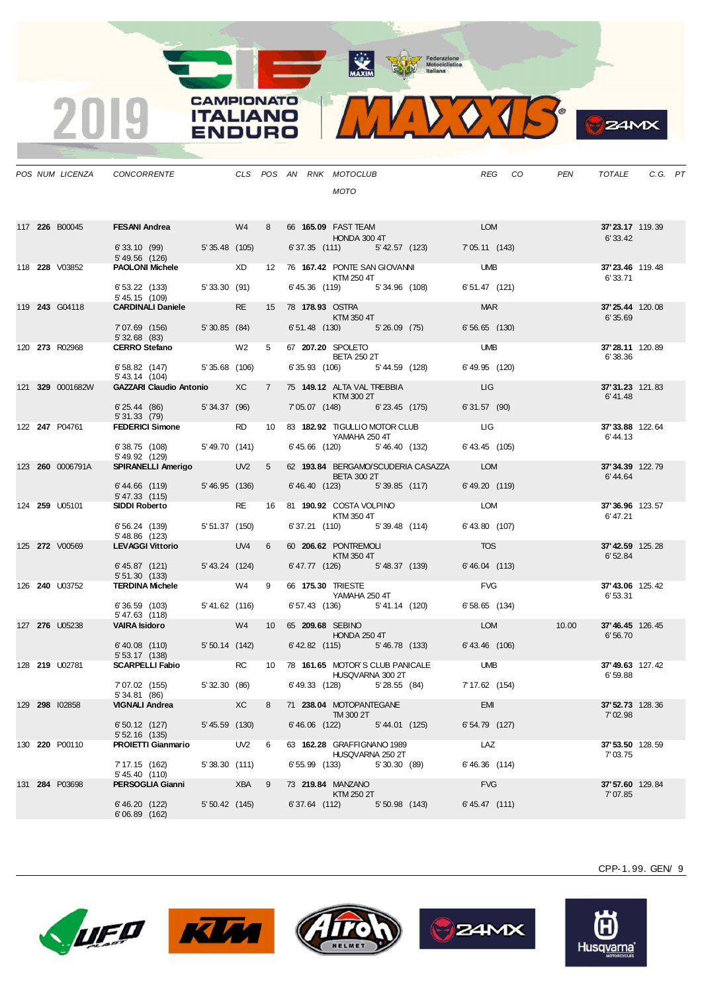**CAMPIONATO** 

**ITALIANO** 

**ENDURO** 

2019



**S**ZAMX

|  | POS NUM LICENZA         | CONCORRENTE                                             |                  |                 |                 | CLS POS AN RNK MOTOCLUB                                      | REG CO                | PEN   | TOTALE                      | C.G. PT |  |
|--|-------------------------|---------------------------------------------------------|------------------|-----------------|-----------------|--------------------------------------------------------------|-----------------------|-------|-----------------------------|---------|--|
|  |                         |                                                         |                  |                 |                 | <b>MOTO</b>                                                  |                       |       |                             |         |  |
|  | 117 226 B00045          | FESANI Andrea W4                                        |                  |                 | 8               | 66 <b>165.09</b> FAST TEAM<br>HONDA 300 4T                   | <b>LOM</b>            |       | 37'23.17 119.39<br>6' 33.42 |         |  |
|  |                         | 6' 33.10 (99) 5' 35.48 (105)<br>5' 49.56 (126)          |                  |                 |                 | 6' 37.35 (111) 5' 42.57 (123)                                | 7'05.11(143)          |       |                             |         |  |
|  | 118 <b>228</b> V03852   | <b>PAOLONI Michele</b>                                  |                  | XD              |                 | 12 76 167.42 PONTE SAN GIOVANNI<br>KTM 250 4T                | <b>UMB</b>            |       | 37'23.46 119.48<br>6'33.71  |         |  |
|  |                         | 6' 53.22 (133) 5' 33.30 (91)<br>5' 45.15 (109)          |                  |                 |                 | 6'45.36 (119) 5'34.96 (108)                                  | $6'51.47$ (121)       |       |                             |         |  |
|  | 119 243 G04118          | <b>CARDINALI Daniele</b>                                |                  | <b>RE</b>       |                 | 15 78 <b>178.93</b> OSTRA<br>KTM 350 4T                      | <b>MAR</b>            |       | 37'25.44 120.08<br>6'35.69  |         |  |
|  |                         | 7'07.69 (156) 5'30.85 (84)<br>5'32.68(83)               |                  |                 |                 | 6' 51.48 (130) 5' 26.09 (75)                                 | $6'56.65$ (130)       |       |                             |         |  |
|  | 120 273 R02968          | <b>CERRO Stefano</b>                                    |                  | W2              | 5               | 67 207.20 SPOLETO<br><b>BETA 250 2T</b>                      | <b>UMB</b>            |       | 37'28.11 120.89<br>6'38.36  |         |  |
|  |                         | 6' 58.82 (147) 5' 35.68 (106)<br>5' 43.14 (104)         |                  |                 |                 | 6' 35.93 (106) 5' 44.59 (128)                                | 6' 49.95 (120)        |       |                             |         |  |
|  | 121 329 0001682W        | <b>GAZZARI Claudio Antonio</b>                          |                  | XC              | $7^{\circ}$     | 75 149.12 ALTA VAL TREBBIA<br>KTM 300 2T                     | <b>LIG</b>            |       | 37'31.23 121.83<br>6'41.48  |         |  |
|  |                         | 6'25.44(86)<br>5'31.33(79)                              | 5'34.37 (96)     |                 |                 | 7'05.07 (148) 6'23.45 (175)                                  | 6'31.57 (90)          |       |                             |         |  |
|  | 122 247 P04761          | <b>FEDERICI Simone</b>                                  |                  | <b>RD</b>       | 10 <sup>1</sup> | 83 182.92 TIGULLIO MOTOR CLUB<br>YAMAHA 250 4T               | LIG <b>DELL</b>       |       | 37' 33.88 122.64<br>6'44.13 |         |  |
|  |                         | 6'38.75 (108) 5'49.70 (141)<br>5' 49.92 (129)           |                  |                 |                 | 6'45.66 (120) 5'46.40 (132)                                  | $6'$ 43.45 $(105)$    |       |                             |         |  |
|  | 123 <b>260</b> 0006791A | SPIRANELLI Amerigo                                      |                  | UV <sub>2</sub> | 5               | 62 193.84 BERGAMO/SCUDERIA CASAZZA LOM<br><b>BETA 300 2T</b> |                       |       | 37'34.39 122.79<br>6'44.64  |         |  |
|  |                         | 6'44.66 (119)<br>$5' 47.33$ (115)                       | 5'46.95 (136)    |                 |                 | 6'46.40 (123) 5'39.85 (117)                                  | 6' 49.20 (119)        |       |                             |         |  |
|  | 124 259 U05101          | <b>SIDDI Roberto</b>                                    |                  | <b>RE</b>       | 16              | 81 190.92 COSTA VOLPINO<br>KTM 350 4T                        | <b>LOM</b>            |       | 37'36.96 123.57<br>6'47.21  |         |  |
|  |                         | 6' 56.24 (139)<br>5' 48.86 (123)                        | 5' 51.37 (150)   |                 |                 | 6' 37.21 (110) 5' 39.48 (114)                                | 6' 43.80 (107)        |       |                             |         |  |
|  | 125 272 V00569          | <b>LEVAGGI Vittorio</b>                                 |                  | UV4             | 6               | 60 206.62 PONTREMOLI<br>KTM 350 4T                           | <b>TOS</b>            |       | 37'42.59 125.28<br>6'52.84  |         |  |
|  |                         | $6' 45.87$ (121)<br>5'51.30(133)                        | 5'43.24 (124)    |                 |                 | 6' 47.77 (126) 5' 48.37 (139)                                | 6'46.04 (113)         |       |                             |         |  |
|  | 126 <b>240</b> U03752   | <b>TERDINA Michele</b>                                  |                  | W4 9            |                 | 66 175.30 TRIESTE<br>YAMAHA 250 4T                           | <b>FVG</b>            |       | 37'43.06 125.42<br>6'53.31  |         |  |
|  |                         | 6'36.59(103)<br>5'47.63 (118)                           | 5'41.62 (116)    |                 |                 | 6' 57.43 (136) 5' 41.14 (120)                                | $6'58.65$ (134)       |       |                             |         |  |
|  | 127 276 U05238          | <b>VAIRA Isidoro</b>                                    |                  | W4              | 10              | 65 209.68 SEBINO<br><b>HONDA 250 4T</b>                      | <b>LOM</b>            | 10.00 | 37'46.45 126.45<br>6'56.70  |         |  |
|  |                         | 6'40.08 (110) 5'50.14 (142)<br>5' 53.17 (138)           |                  |                 |                 | 6' 42.82 (115) 5' 46.78 (133)                                | 6'43.46 (106)         |       |                             |         |  |
|  | 128 219 U02781          | <b>SCARPELLI Fabio</b>                                  |                  | <b>RC</b>       | 10              | 78 161.65 MOTOR S CLUB PANICALE<br>HUSQVARNA 300 2T          | <b>UMB</b>            |       | 37'49.63 127.42<br>6'59.88  |         |  |
|  |                         | 7'07.02 (155)<br>5'34.81 (86)                           | 5'32.30 (86)     |                 |                 | $6'49.33$ (128) $5'28.55$ (84)                               | 7' 17.62 (154)        |       |                             |         |  |
|  | 129 298 102858          | <b>VIGNALI Andrea</b>                                   | $5' 45.59$ (130) | XC              | 8               | 71 238.04 MOTOPANTEGANE<br>TM 300 2T<br>$6'46.06$ $(122)$    | EMI<br>6' 54.79 (127) |       | 37' 52.73 128.36<br>7'02.98 |         |  |
|  | 130 <b>220</b> P00110   | 6' 50.12 (127)<br>$5'52.16$ (135)<br>PROIETTI Gianmario | UV <sub>2</sub>  |                 | - 6             | 5'44.01 (125)<br>63 162.28 GRAFFIGNANO 1989                  | LAZ                   |       | 37'53.50 128.59             |         |  |
|  |                         | 7' 17.15 (162)                                          | 5'38.30(111)     |                 |                 | HUSQVARNA 250 2T<br>6' 55.99 (133) 5' 30.30 (89)             | $6'46.36$ (114)       |       | 7'03.75                     |         |  |
|  | 131 284 P03698          | 5' 45.40 (110)<br>PERSOGLIA Gianni                      |                  | XBA 9           |                 | 73 219.84 MANZANO                                            | <b>FVG</b>            |       | <b>37' 57.60</b> 129.84     |         |  |
|  |                         | 6' 46.20 (122)                                          | 5' 50.42 (145)   |                 |                 | KTM 250 2T<br>6' 37.64 (112) 5' 50.98 (143)                  | $6' 45.47$ (111)      |       | 7'07.85                     |         |  |
|  |                         | 6'06.89(162)                                            |                  |                 |                 |                                                              |                       |       |                             |         |  |









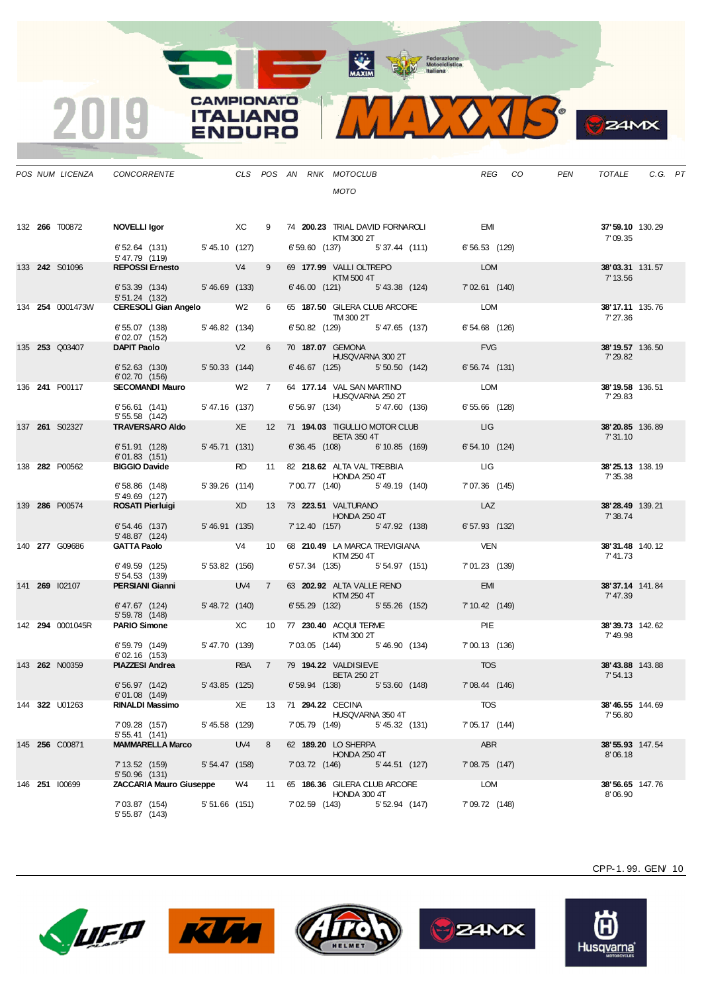

**S**ZAMX

|  | POS NUM LICENZA       | CONCORRENTE                                       |                   |                 |                |                  | CLS POS AN RNK MOTOCLUB<br><b>MOTO</b>                 | REG CO         | PEN | TOTALE                       | C.G. PT |  |
|--|-----------------------|---------------------------------------------------|-------------------|-----------------|----------------|------------------|--------------------------------------------------------|----------------|-----|------------------------------|---------|--|
|  |                       |                                                   |                   |                 |                |                  |                                                        |                |     |                              |         |  |
|  | 132 <b>266</b> T00872 | NOVELLI Igor XC                                   |                   |                 | 9              |                  | 74 200.23 TRIAL DAVID FORNAROLI EMI<br>KTM 300 2T      |                |     | 37'59.10 130.29<br>7'09.35   |         |  |
|  |                       | 6' 52.64 (131) 5' 45.10 (127)<br>5' 47.79 (119)   |                   |                 |                |                  | 6' 59.60 (137) 5' 37.44 (111) 6' 56.53 (129)           |                |     |                              |         |  |
|  | 133 242 S01096        | REPOSSI Ernesto V4                                |                   |                 | 9              |                  | 69 177.99 VALLI OLTREPO<br>KTM 500 4T                  | <b>LOM</b>     |     | 38'03.31 131.57<br>7' 13.56  |         |  |
|  |                       | 6' 53.39 (134) 5' 46.69 (133)<br>5' 51.24 (132)   |                   |                 |                |                  | 6'46.00 (121) 5'43.38 (124)                            | 7'02.61 (140)  |     |                              |         |  |
|  | 134 254 0001473W      | <b>CERESOLI Gian Angelo</b>                       |                   | W <sub>2</sub>  | 6              |                  | 65 187.50 GILERA CLUB ARCORE<br>TM 300 2T              | LOM            |     | 38'17.11 135.76<br>7' 27.36  |         |  |
|  |                       | 6'55.07 (138)<br>6'02.07 (152)                    | 5'46.82 (134)     |                 |                |                  | 6' 50.82 (129)<br>5'47.65 (137)                        | 6'54.68 (126)  |     |                              |         |  |
|  | 135 253 Q03407        | <b>DAPIT Paolo</b>                                | $\sqrt{2}$        |                 | 6              |                  | 70 187.07 GEMONA<br>HUSQVARNA 300 2T                   | <b>FVG</b>     |     | 38' 19.57 136.50<br>7' 29.82 |         |  |
|  |                       | 6' 52.63 (130) 5' 50.33 (144)<br>6'02.70 (156)    |                   |                 |                |                  | 6' 46.67 (125) 5' 50.50 (142)                          | 6'56.74(131)   |     |                              |         |  |
|  | 136 <b>241</b> P00117 | <b>SECOMANDI Mauro</b> W2 7                       |                   |                 |                |                  | 64 177.14 VAL SAN MARTINO<br>HUSQVARNA 250 2T          | <b>LOM</b>     |     | 38'19.58 136.51<br>7' 29.83  |         |  |
|  |                       | 6'56.61 (141)<br>5' 55.58 (142)                   | 5'47.16 (137)     |                 |                |                  | 6' 56.97 (134) 5' 47.60 (136)                          | 6'55.66 (128)  |     |                              |         |  |
|  | 137 261 S02327        | TRAVERSARO Aldo XE                                |                   |                 |                |                  | 12 71 194.03 TIGULLIO MOTOR CLUB<br><b>BETA 350 4T</b> | LIG            |     | 38'20.85 136.89<br>7' 31.10  |         |  |
|  |                       | 6'51.91 (128)<br>6'01.83(151)                     | 5'45.71 (131)     |                 |                |                  | 6'36.45 (108) 6'10.85 (169)                            | 6'54.10(124)   |     |                              |         |  |
|  | 138 282 P00562        | <b>BIGGIO Davide</b>                              |                   | <b>RD</b>       |                |                  | 11 82 218.62 ALTA VAL TREBBIA<br><b>HONDA 250 4T</b>   | <b>LIG</b>     |     | 38'25.13 138.19<br>7' 35.38  |         |  |
|  |                       | 6'58.86 (148)<br>5' 49.69 (127)                   | 5'39.26 (114)     |                 |                |                  | 7'00.77 (140) 5'49.19 (140)                            | 7'07.36 (145)  |     |                              |         |  |
|  | 139 286 P00574        | <b>ROSATI Pierluigi</b>                           | <b>Example 20</b> |                 |                |                  | 13 73 223.51 VALTURANO<br><b>HONDA 250 4T</b>          | LAZ            |     | 38'28.49 139.21<br>7' 38.74  |         |  |
|  |                       | $6'54.46$ (137)<br>5' 48.87 (124)                 | 5'46.91 (135)     |                 |                |                  | 7' 12.40 (157)<br>5'47.92 (138)                        | 6' 57.93 (132) |     |                              |         |  |
|  | 140 277 G09686        | <b>GATTA Paolo</b>                                |                   | V <sub>4</sub>  |                |                  | 10 68 210.49 LA MARCA TREVIGIANA<br>KTM 250 4T         | <b>VEN</b>     |     | 38'31.48 140.12<br>7' 41.73  |         |  |
|  |                       | 6' 49.59 (125)<br>5' 54.53 (139)                  | 5' 53.82 (156)    |                 |                |                  | 6' 57.34 (135) 5' 54.97 (151)                          | 7'01.23 (139)  |     |                              |         |  |
|  | 141 269 102107        | PERSIANI Gianni                                   |                   | UV4             | $\overline{7}$ |                  | 63 202.92 ALTA VALLE RENO<br>KTM 250 4T                | <b>EMI</b>     |     | 38'37.14 141.84<br>7' 47.39  |         |  |
|  |                       | 6'47.67 (124)<br>5' 59.78 (148)                   | 5'48.72 (140)     |                 |                |                  | 6' 55.29 (132) 5' 55.26 (152)                          | 7' 10.42 (149) |     |                              |         |  |
|  | 142 294 0001045R      | <b>PARIO Simone</b>                               |                   | XC              | 10             |                  | 77 230.40 ACQUI TERME<br>KTM 300 2T                    | PIE            |     | 38'39.73 142.62<br>7'49.98   |         |  |
|  |                       | 6' 59.79 (149)                                    | 5'47.70 (139)     |                 |                |                  | 7'03.05 (144) 5'46.90 (134)                            | 7'00.13 (136)  |     |                              |         |  |
|  | 143 262 N00359        | 6'02.16 (153)<br><b>PIAZZESI Andrea</b>           |                   | RBA 7           |                |                  | 79 194.22 VALDISIEVE                                   | <b>TOS</b>     |     | 38'43.88 143.88              |         |  |
|  |                       | 6' 56.97 (142)                                    | 5'43.85 (125)     |                 |                |                  | <b>BETA 250 2T</b><br>6'59.94 (138) 5'53.60 (148)      | 7'08.44 (146)  |     | 7' 54.13                     |         |  |
|  | 144 322 U01263        | 6'01.08 (149)<br><b>RINALDI Massimo</b>           |                   | XE              | 13             | 71 294.22 CECINA |                                                        | TOS            |     | <b>38' 46.55</b> 144.69      |         |  |
|  |                       | 7'09.28 (157)                                     | 5' 45.58 (129)    |                 |                | 7' 05.79 (149)   | HUSQVARNA 350 4T<br>5'45.32 (131)                      | 7' 05.17 (144) |     | 7'56.80                      |         |  |
|  | 145 256 C00871        | 5' 55.41 (141)<br><b>MAMMARELLA Marco</b>         |                   | UV <sub>4</sub> | 8              |                  | 62 189.20 LO SHERPA                                    | <b>ABR</b>     |     | 38' 55.93 147.54             |         |  |
|  |                       | 7' 13.52 (159)                                    | 5' 54.47 (158)    |                 |                | 7'03.72 (146)    | <b>HONDA 250 4T</b><br>5'44.51 (127)                   | 7'08.75 (147)  |     | 8'06.18                      |         |  |
|  | 146 251 100699        | $5'50.96$ (131)<br><b>ZACCARIA Mauro Giuseppe</b> |                   | W4              | 11             |                  | 65 186.36 GILERA CLUB ARCORE                           | LOM            |     | <b>38' 56.65</b> 147.76      |         |  |
|  |                       | 7'03.87 (154)<br>5' 55.87 (143)                   | $5'51.66$ (151)   |                 |                | 7' 02.59 (143)   | HONDA 300 4T<br>5' 52.94 (147)                         | 7' 09.72 (148) |     | 8'06.90                      |         |  |

**CAMPIONATO** 

**ITALIANO** 

**ENDURO** 

2019









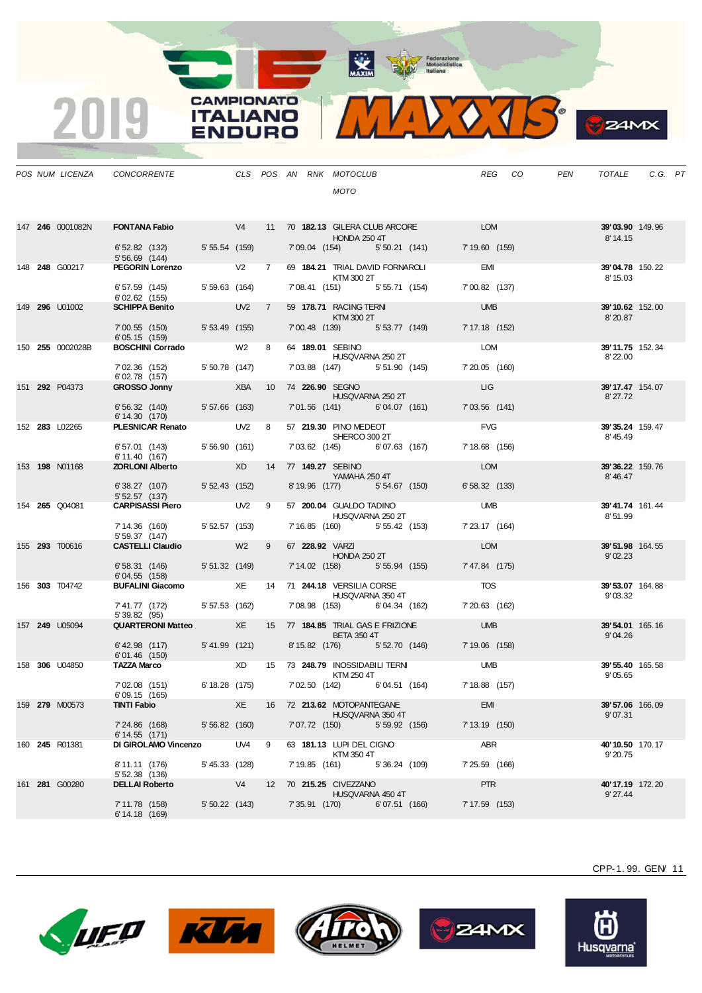Motociclistica

**CAMPIONATO** 

**ITALIANO** 

**ENDURO** 

2019



|  | POS NUM LICENZA  | <b>CONCORRENTE</b>                       |                               |                |                 |                 | CLS POS AN RNK MOTOCLUB<br><b>MOTO</b>                                                                                            |                 | REG CO | PEN | TOTALE                             | C.G. PT |  |
|--|------------------|------------------------------------------|-------------------------------|----------------|-----------------|-----------------|-----------------------------------------------------------------------------------------------------------------------------------|-----------------|--------|-----|------------------------------------|---------|--|
|  | 147 246 0001082N | 6' 52.82 (132) 5' 55.54 (159)            |                               |                |                 |                 | <b>FONTANA Fabio</b> $V4$ 11 70 182.13 GILERA CLUB ARCORE LOM<br><b>HONDA 250 4T</b><br>7'09.04 (154) 5'50.21 (141) 7'19.60 (159) |                 |        |     | <b>39'03.90</b> 149.96<br>8' 14.15 |         |  |
|  | 148 248 G00217   | $5'56.69$ (144)<br>PEGORIN Lorenzo V2 7  |                               |                |                 |                 | 69 184.21 TRIAL DAVID FORNAROLI                                                                                                   | <b>EMI</b>      |        |     | 39'04.78 150.22                    |         |  |
|  |                  | 6'57.59 (145)                            | 5' 59.63 (164)                |                |                 |                 | KTM 300 2T<br>7'08.41 (151) 5'55.71 (154)                                                                                         | 7'00.82 (137)   |        |     | 8' 15.03                           |         |  |
|  | 149 296 U01002   | $6'02.62$ (155)<br><b>SCHIPPA Benito</b> | <b>Example 19 UV2 7 7 7 Y</b> |                |                 |                 | 59 178.71 RACING TERNI                                                                                                            | <b>UMB</b>      |        |     | 39'10.62 152.00                    |         |  |
|  |                  | 7'00.55 (150)<br>6' 05.15 (159)          | 5' 53.49 (155)                |                |                 |                 | KTM 300 2T<br>7'00.48 (139) 5'53.77 (149)                                                                                         | 7' 17.18 (152)  |        |     | 8'20.87                            |         |  |
|  | 150 255 0002028B | <b>BOSCHINI Corrado</b>                  |                               | W2 8           |                 |                 | 64 189.01 SEBINO<br>HUSQVARNA 250 2T                                                                                              | <b>LOM</b>      |        |     | 39'11.75 152.34<br>8' 22.00        |         |  |
|  |                  | 7'02.36 (152)<br>6'02.78 (157)           | 5' 50.78 (147)                |                |                 |                 | 7'03.88 (147) 5'51.90 (145)                                                                                                       | 7'20.05 (160)   |        |     |                                    |         |  |
|  | 151 292 P04373   | <b>GROSSO Jonny</b>                      | XBA                           |                | 10 <sup>°</sup> | 74 226.90 SEGNO | HUSQVARNA 250 2T                                                                                                                  | LIG             |        |     | 39' 17.47 154.07<br>8' 27.72       |         |  |
|  |                  | 6' 56.32 (140)<br>6' 14.30 (170)         | 5' 57.66 (163)                |                |                 |                 | 7'01.56 (141) 6'04.07 (161)                                                                                                       | $7'03.56$ (141) |        |     |                                    |         |  |
|  | 152 283 L02265   | PLESNICAR Renato UV2                     |                               |                | 8               |                 | 57 219.30 PINO MEDEOT<br>SHERCO 300 2T                                                                                            | <b>FVG</b>      |        |     | 39'35.24 159.47<br>8'45.49         |         |  |
|  |                  | 6'57.01 (143)<br>6' 11.40 (167)          | 5'56.90 (161)                 |                |                 |                 | 7'03.62 (145) 6'07.63 (167)                                                                                                       | 7' 18.68 (156)  |        |     |                                    |         |  |
|  | 153 198 N01168   | <b>ZORLONI Alberto</b> XD                |                               |                |                 |                 | 14 77 149.27 SEBINO<br>YAMAHA 250 4T                                                                                              | <b>LOM</b>      |        |     | 39'36.22 159.76<br>8'46.47         |         |  |
|  |                  | 6' 38.27 (107)<br>5'52.57(137)           | 5' 52.43 (152)                |                |                 |                 | 8'19.96 (177)<br>5' 54.67 (150)                                                                                                   | 6'58.32(133)    |        |     |                                    |         |  |
|  | 154 265 Q04081   | <b>CARPISASSI Piero UV2 9</b>            |                               |                |                 |                 | 57 200.04 GUALDO TADINO<br>HUSQVARNA 250 2T                                                                                       | <b>UMB</b>      |        |     | 39'41.74 161.44<br>8'51.99         |         |  |
|  |                  | 7' 14.36 (160)<br>5' 59.37 (147)         | 5' 52.57 (153)                |                |                 |                 | 7' 16.85 (160) 5' 55.42 (153)                                                                                                     | 7' 23.17 (164)  |        |     |                                    |         |  |
|  | 155 293 T00616   | <b>CASTELLI Claudio</b>                  |                               | W <sub>2</sub> | 9               |                 | 67 228.92 VARZI<br>HONDA 250 2T                                                                                                   | <b>LOM</b>      |        |     | 39'51.98 164.55<br>9'02.23         |         |  |
|  |                  | 6'58.31 (146)<br>6'04.55 (158)           | 5' 51.32 (149)                |                |                 |                 | 7' 14.02 (158) 5' 55.94 (155)                                                                                                     | 7'47.84 (175)   |        |     |                                    |         |  |
|  | 156 303 T04742   | <b>BUFALINI Giacomo XE</b>               |                               |                | 14              |                 | 71 244.18 VERSILIA CORSE<br>HUSQVARNA 350 4T                                                                                      | <b>TOS</b>      |        |     | 39'53.07 164.88<br>9'03.32         |         |  |
|  |                  | 7' 41.77 (172)<br>5'39.82 (95)           | 5' 57.53 (162)                |                |                 |                 | 7'08.98 (153) 6'04.34 (162)                                                                                                       | 7' 20.63 (162)  |        |     |                                    |         |  |
|  | 157 249 U05094   | <b>QUARTERONI Matteo XE</b>              |                               |                |                 |                 | 15 77 <b>184.85</b> TRIAL GAS E FRIZIONE<br><b>BETA 350 4T</b>                                                                    | <b>UMB</b>      |        |     | 39' 54.01 165.16<br>9'04.26        |         |  |
|  |                  | 6'42.98 (117)<br>$6'01.46$ (150)         | 5'41.99 (121)                 |                |                 |                 | 8'15.82 (176) 5'52.70 (146) 7'19.06 (158)                                                                                         |                 |        |     |                                    |         |  |
|  | 158 306 U04850   | <b>TAZZA Marco</b>                       |                               |                |                 |                 | XD 15 73 248.79 INOSSIDABILI TERNI<br>KTM 250 4T                                                                                  | <b>UMB</b>      |        |     | 39'55.40 165.58<br>9'05.65         |         |  |
|  |                  | 7'02.08 (151)<br>6'09.15 (165)           | 6' 18.28 (175)                |                |                 |                 | 7'02.50 (142) 6'04.51 (164)                                                                                                       | 7' 18.88 (157)  |        |     |                                    |         |  |
|  | 159 279 M00573   | <b>TINTI Fabio</b>                       |                               | XE             |                 |                 | 16 72 213.62 MOTOPANTEGANE<br>HUSQVARNA 350 4T                                                                                    | EMI             |        |     | <b>39'57.06</b> 166.09<br>9'07.31  |         |  |
|  |                  | 7'24.86 (168)<br>6' 14.55 (171)          | 5'56.82(160)                  |                |                 | 7'07.72 (150)   | 5' 59.92 (156)                                                                                                                    | 7' 13.19 (150)  |        |     |                                    |         |  |
|  | 160 245 R01381   | DI GIROLAMO Vincenzo                     |                               | UV4            | 9               |                 | 63 181.13 LUPI DEL CIGNO<br>KTM 350 4T                                                                                            | ABR             |        |     | 40'10.50 170.17<br>9' 20.75        |         |  |
|  |                  | 8' 11.11 (176)<br>5' 52.38 (136)         | 5' 45.33 (128)                |                |                 | 7' 19.85 (161)  | 5'36.24 (109)                                                                                                                     | 7' 25.59 (166)  |        |     |                                    |         |  |
|  | 161 281 G00280   | <b>DELLAI Roberto</b>                    |                               | V4             | 12              |                 | 70 215.25 CIVEZZANO<br>HUSQVARNA 450 4T                                                                                           | PTR             |        |     | 40'17.19 172.20<br>9'27.44         |         |  |
|  |                  | 7' 11.78 (158)<br>6'14.18(169)           | $5'50.22$ (143)               |                |                 | 7' 35.91 (170)  | 6'07.51(166)                                                                                                                      | 7' 17.59 (153)  |        |     |                                    |         |  |









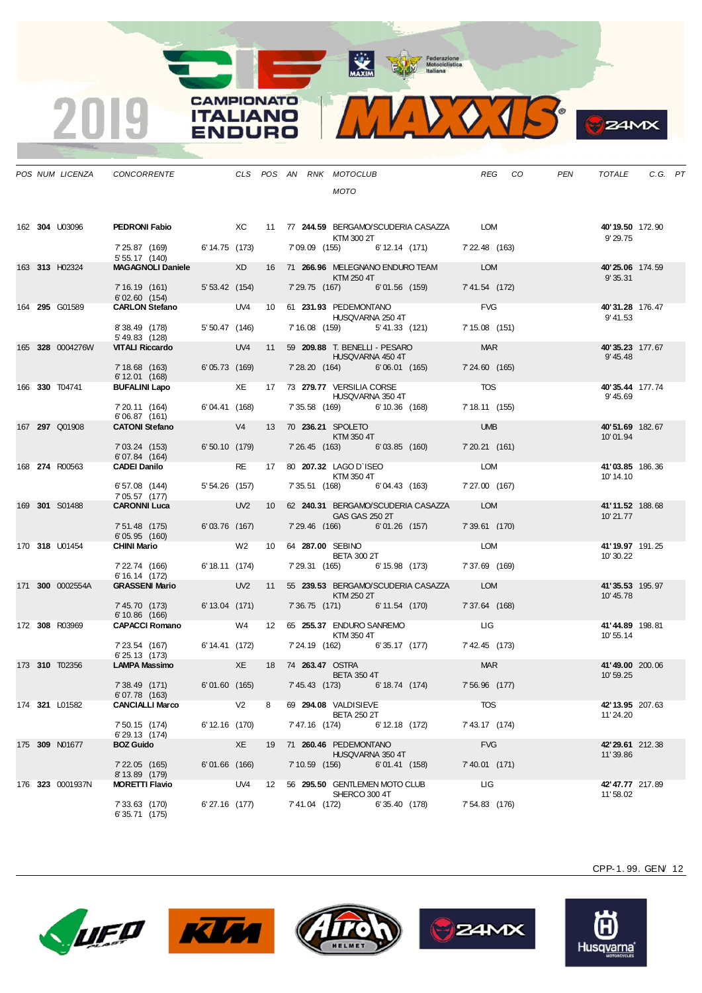MAXIM BOORNEOUSE



| CONCORRENTE                                    |                |                |                 |  | CLS POS AN RNK MOTOCLUB                           |                                           | <b>REG</b>     | CO. | <b>PEN</b> | TOTALE                       | C.G. PT |  |
|------------------------------------------------|----------------|----------------|-----------------|--|---------------------------------------------------|-------------------------------------------|----------------|-----|------------|------------------------------|---------|--|
|                                                |                |                |                 |  | <b>MOTO</b>                                       |                                           |                |     |            |                              |         |  |
|                                                |                |                |                 |  |                                                   |                                           |                |     |            |                              |         |  |
| PEDRONI Fabio                                  | <b>EXC</b>     |                |                 |  | KTM 300 2T                                        | 11 77 244.59 BERGAMO/SCUDERIA CASAZZA LOM |                |     |            | 40'19.50 172.90<br>9'29.75   |         |  |
| 7' 25.87 (169)<br>5' 55.17 (140)               | 6' 14.75 (173) |                |                 |  |                                                   | 7'09.09 (155) 6'12.14 (171) 7'22.48 (163) |                |     |            |                              |         |  |
| <b>VIAGAGNOLI Daniele</b>                      |                | <b>XD</b>      | 16              |  | 71 266.96 MELEGNANO ENDURO TEAM<br>KTM 250 4T     |                                           | <b>LOM</b>     |     |            | 40'25.06 174.59<br>9'35.31   |         |  |
| 7' 16.19 (161) 5' 53.42 (154)<br>6'02.60 (154) |                |                |                 |  |                                                   | 7'29.75 (167) 6'01.56 (159) 7'41.54 (172) |                |     |            |                              |         |  |
| <b>CARLON Stefano</b>                          |                | UV4            | 10 <sup>1</sup> |  | 61 231.93 PEDEMONTANO<br>HUSQVARNA 250 4T         |                                           | <b>FVG</b>     |     |            | 40'31.28 176.47<br>9' 41.53  |         |  |
| 8'38.49 (178)<br>5'49.83 (128)                 | 5' 50.47 (146) |                |                 |  | 7' 16.08 (159) 5' 41.33 (121)                     |                                           | 7' 15.08 (151) |     |            |                              |         |  |
| <b>JITALI Riccardo</b>                         |                | UV4            | 11              |  | 59 209.88 T. BENELLI - PESARO<br>HUSQVARNA 450 4T |                                           | <b>MAR</b>     |     |            | 40'35.23 177.67<br>9' 45.48  |         |  |
| 7' 18.68 (163)<br>6'12.01 (168)                | 6'05.73 (169)  |                |                 |  | 7'28.20 (164) 6'06.01 (165)                       |                                           | 7'24.60 (165)  |     |            |                              |         |  |
| <b>BUFALINI Lapo</b>                           |                | XE             | 17 <sup>2</sup> |  | 73 279.77 VERSILIA CORSE<br>HUSQVARNA 350 4T      |                                           | <b>TOS</b>     |     |            | 40'35.44 177.74<br>9' 45.69  |         |  |
| 7' 20.11 (164)<br>6'06.87 (161)                | 6'04.41 (168)  |                |                 |  | 7'35.58 (169) 6'10.36 (168)                       |                                           | 7' 18.11 (155) |     |            |                              |         |  |
| <b>CATONI Stefano</b>                          |                | V <sub>4</sub> | 13              |  | 70 236.21 SPOLETO<br>KTM 350 4T                   |                                           | <b>UMB</b>     |     |            | 40'51.69 182.67<br>10'01.94  |         |  |
| 7'03.24 (153)<br>6'07.84 (164)                 | 6'50.10 (179)  |                |                 |  | 7'26.45 (163) 6'03.85 (160)                       |                                           | 7' 20.21 (161) |     |            |                              |         |  |
| CADEI Danilo                                   |                | <b>RE</b>      | 17              |  | 80 207.32 LAGO D'ISEO<br>KTM 350 4T               |                                           | LOM            |     |            | 41'03.85 186.36<br>10' 14.10 |         |  |
| 6'57.08 (144)<br>7'05.57 (177)                 | 5'54.26 (157)  |                |                 |  |                                                   | 7'35.51 (168) 6'04.43 (163) 7'27.00 (167) |                |     |            |                              |         |  |
| <b>CARONNI Luca</b>                            |                | UV2            |                 |  |                                                   | 10 62 240.31 BERGAMO/SCUDERIA CASAZZA     | <b>LOM</b>     |     |            | 41'11.52 188.68              |         |  |

|  | 163 313 H02324   | <b>MAGAGNOLI Daniele</b> XD                                                            |                         |  |                        | KTM 250 4T                                                                                                           |                                                          | 16 71 266.96 MELEGNANO ENDURO TEAM            | LOM            | <b>40'25.06</b> 174.59<br>9' 35.31 |  |
|--|------------------|----------------------------------------------------------------------------------------|-------------------------|--|------------------------|----------------------------------------------------------------------------------------------------------------------|----------------------------------------------------------|-----------------------------------------------|----------------|------------------------------------|--|
|  |                  | 7'16.19 (161) 5'53.42 (154) 7'29.75 (167) 6'01.56 (159) 7'41.54 (172)<br>6'02.60 (154) |                         |  |                        |                                                                                                                      |                                                          |                                               |                |                                    |  |
|  | 164 295 G01589   | CARLON Stefano UV4 10 61 231.93 PEDEMONTANO                                            |                         |  |                        |                                                                                                                      |                                                          | HUSQVARNA 250 4T                              | FVG            | 40'31.28 176.47<br>9' 41.53        |  |
|  |                  | 8' 38.49 (178) 5' 50.47 (146)<br>5' 49.83 (128)                                        |                         |  |                        |                                                                                                                      |                                                          | 7' 16.08 (159) 5' 41.33 (121)                 | 7' 15.08 (151) |                                    |  |
|  | 165 328 0004276W | <b>VITALI Riccardo</b>                                                                 |                         |  |                        |                                                                                                                      | UV4 11 59 209.88 T. BENELLI - PESARO<br>HUSQVARNA 450 4T |                                               | <b>MAR</b>     | 40'35.23 177.67<br>9' 45.48        |  |
|  |                  | 7' 18.68 (163) 6' 05.73 (169)<br>6' 12.01 (168)                                        |                         |  |                        |                                                                                                                      |                                                          | 7'28.20 (164) 6'06.01 (165) 7'24.60 (165)     |                |                                    |  |
|  | 166 330 T04741   | <b>BUFALINI Lapo</b>                                                                   |                         |  |                        | HUSQVARNA 350 4T                                                                                                     | XE 17 73 279.77 VERSILIA CORSE                           |                                               | <b>TOS</b>     | 40'35.44 177.74<br>9' 45.69        |  |
|  |                  | $7'20.11$ (164) 6'04.41 (168)<br>6'06.87(161)                                          |                         |  |                        |                                                                                                                      |                                                          | 7' 35.58 (169) 6' 10.36 (168)                 | 7' 18.11 (155) |                                    |  |
|  | 167 297 Q01908   | <b>CATONI Stefano</b>                                                                  | V4                      |  |                        | 13 70 236.21 SPOLETO<br>KTM 350 4T                                                                                   |                                                          |                                               | <b>UMB</b>     | 40'51.69 182.67<br>10'01.94        |  |
|  |                  | 7'03.24 (153) 6'50.10 (179) 7'26.45 (163) 6'03.85 (160)<br>6'07.84 (164)               |                         |  |                        |                                                                                                                      |                                                          |                                               | 7' 20.21 (161) |                                    |  |
|  | 168 274 R00563   | <b>CADEI Danilo</b>                                                                    | and the contract of the |  |                        | KTM 350 4T                                                                                                           |                                                          | RE 17 80 207.32 LAGO D'ISEO LOM               |                | 41'03.85 186.36<br>10' 14.10       |  |
|  |                  | 6'57.08 (144) 5'54.26 (157)<br>7'05.57 (177)                                           |                         |  |                        |                                                                                                                      |                                                          | 7'35.51 (168) 6'04.43 (163) 7'27.00 (167)     |                |                                    |  |
|  | 169 301 S01488   | <b>CARONNI Luca</b>                                                                    |                         |  |                        | <b>GAS GAS 250 2T</b>                                                                                                |                                                          | UV2 10 62 240.31 BERGAMO/SCUDERIA CASAZZA LOM |                | 41'11.52 188.68<br>10'21.77        |  |
|  |                  | 7' 51.48 (175)<br>6'05.95 (160)                                                        | 6'03.76 (167)           |  |                        |                                                                                                                      |                                                          | 7'29.46 (166) 6'01.26 (157)                   | 7'39.61 (170)  |                                    |  |
|  | 170 318 U01454   | <b>CHINI Mario</b>                                                                     |                         |  | W2 10 64 287.00 SEBINO |                                                                                                                      | BETA 300 2T                                              |                                               | LOM            | 41'19.97 191.25<br>10'30.22        |  |
|  |                  | 7' 22.74 (166) 6' 18.11 (174)<br>6' 16.14 (172)                                        |                         |  |                        |                                                                                                                      |                                                          | 7'29.31 (165) 6'15.98 (173) 7'37.69 (169)     |                |                                    |  |
|  | 171 300 0002554A | <b>GRASSENI Mario</b>                                                                  |                         |  |                        | KTM 250 2T                                                                                                           |                                                          | UV2 11 55 239.53 BERGAMO/SCUDERIA CASAZZA LOM |                | 41'35.53 195.97<br>10'45.78        |  |
|  |                  | 7' 45.70 (173) 6' 13.04 (171)<br>$6'10.86$ (166)                                       |                         |  |                        |                                                                                                                      |                                                          | 7'36.75 (171) 6'11.54 (170) 7'37.64 (168)     |                |                                    |  |
|  | 172 308 R03969   | CAPACCI Romano W4 12 65 255.37 ENDURO SANREMO                                          |                         |  |                        | <b>EXERCISE IN STREET STATES AT A STREET AND A STREET STATES AND A STREET STATES IN STREET STATES AND A STREET S</b> |                                                          |                                               |                | 41'44.89 198.81<br>10' 55.14       |  |
|  |                  | 7' 23.54 (167) 6' 14.41 (172)<br>6' 25.13 (173)                                        |                         |  |                        |                                                                                                                      |                                                          | 7' 24.19 (162) 6' 35.17 (177) 7' 42.45 (173)  |                |                                    |  |
|  | 173 310 T02356   | <b>LAMPA Massimo</b>                                                                   | <b>Example 2018</b> XE  |  | 18 74 263.47 OSTRA     | <b>BETA 350 4T</b>                                                                                                   |                                                          |                                               | <b>MAR</b>     | 41'49.00 200.06<br>10' 59.25       |  |
|  |                  | 7 38.49 (171) 6 01.60 (165) 7 45.43 (173) 6 18.74 (174) 7 56.96 (177)<br>6'07.78 (163) |                         |  |                        |                                                                                                                      |                                                          |                                               |                |                                    |  |
|  | 174 321 L01582   | CANCIALLI Marco V2 8 69 294.08 VALDISIEVE                                              |                         |  |                        | <b>BETA 250 2T</b>                                                                                                   |                                                          | <b>TOS</b>                                    |                | 42' 13.95 207.63<br>11'24.20       |  |
|  |                  | 7'50.15 (174) 6'12.16 (170)<br>6'29.13 (174)                                           |                         |  |                        |                                                                                                                      |                                                          | 7'47.16 (174) 6'12.18 (172)                   | 7' 43.17 (174) |                                    |  |
|  | 175 309 N01677   | <b>BOZ Guido</b>                                                                       | <b>Example 20 XE</b>    |  |                        | 19 71 260.46 PEDEMONTANO                                                                                             | HUSQVARNA 350 4T                                         |                                               | <b>FVG</b>     | 42'29.61 212.38<br>11'39.86        |  |
|  |                  | 7'22.05 (165) 6'01.66 (166)<br>8' 13.89 (179)                                          |                         |  |                        |                                                                                                                      |                                                          | 7'10.59 (156) 6'01.41 (158) 7'40.01 (171)     |                |                                    |  |
|  | 176 323 0001937N |                                                                                        |                         |  |                        | SHERCO 300 4T                                                                                                        |                                                          |                                               |                | 42'47.77 217.89<br>11'58.02        |  |
|  |                  | 7'33.63 (170)<br>6' 35.71 (175)                                                        |                         |  |                        |                                                                                                                      | 6'27.16 (177) 7'41.04 (172) 6'35.40 (178)                |                                               | 7' 54.83 (176) |                                    |  |

 $POS$  *NUM LICENZA CONCORRENTE* 

 $\overline{\mathbf{2}}$ 

162 **304** U03096 **PEDRONI Fabio** 

**CAMPIONATO** 

**ITALIANO** 

**ENDURO** 







CPP-1. 99. GEN/ 12

**P** ZAMX